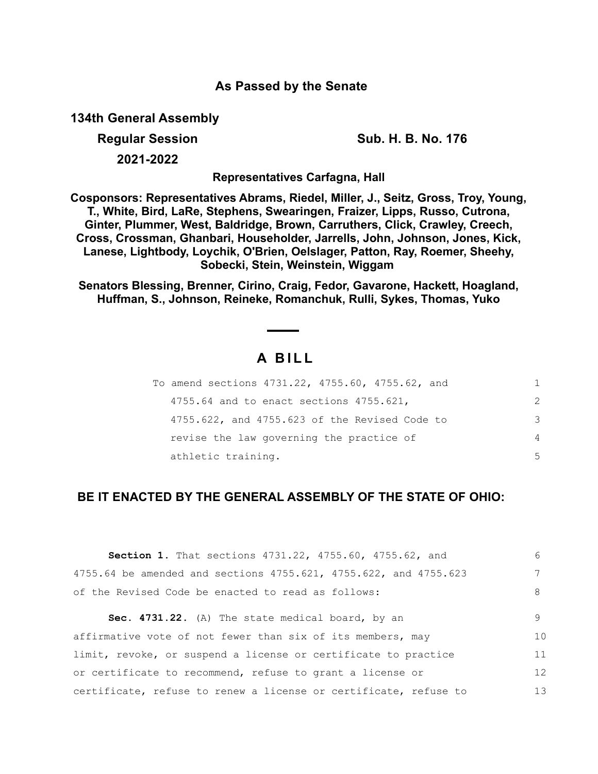### **As Passed by the Senate**

**134th General Assembly**

**Regular Session Sub. H. B. No. 176**

**2021-2022**

**Representatives Carfagna, Hall**

**Cosponsors: Representatives Abrams, Riedel, Miller, J., Seitz, Gross, Troy, Young, T., White, Bird, LaRe, Stephens, Swearingen, Fraizer, Lipps, Russo, Cutrona, Ginter, Plummer, West, Baldridge, Brown, Carruthers, Click, Crawley, Creech, Cross, Crossman, Ghanbari, Householder, Jarrells, John, Johnson, Jones, Kick, Lanese, Lightbody, Loychik, O'Brien, Oelslager, Patton, Ray, Roemer, Sheehy, Sobecki, Stein, Weinstein, Wiggam** 

**Senators Blessing, Brenner, Cirino, Craig, Fedor, Gavarone, Hackett, Hoagland, Huffman, S., Johnson, Reineke, Romanchuk, Rulli, Sykes, Thomas, Yuko**

# **A B I L L**

| To amend sections 4731.22, 4755.60, 4755.62, and |               |
|--------------------------------------------------|---------------|
| 4755.64 and to enact sections 4755.621,          | $\mathcal{P}$ |
| 4755.622, and 4755.623 of the Revised Code to    | 3             |
| revise the law governing the practice of         | 4             |
| athletic training.                               | 5             |

## **BE IT ENACTED BY THE GENERAL ASSEMBLY OF THE STATE OF OHIO:**

| Section 1. That sections 4731.22, 4755.60, 4755.62, and          | 6  |
|------------------------------------------------------------------|----|
| 4755.64 be amended and sections 4755.621, 4755.622, and 4755.623 | 7  |
| of the Revised Code be enacted to read as follows:               | 8  |
| Sec. 4731.22. (A) The state medical board, by an                 | 9  |
| affirmative vote of not fewer than six of its members, may       | 10 |
| limit, revoke, or suspend a license or certificate to practice   | 11 |
| or certificate to recommend, refuse to grant a license or        | 12 |
| certificate, refuse to renew a license or certificate, refuse to | 13 |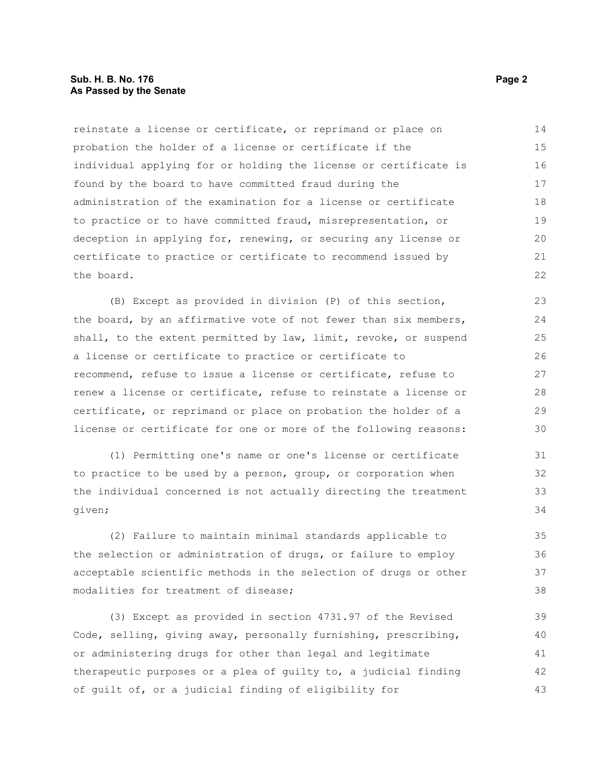#### **Sub. H. B. No. 176 Page 2 As Passed by the Senate**

reinstate a license or certificate, or reprimand or place on probation the holder of a license or certificate if the individual applying for or holding the license or certificate is found by the board to have committed fraud during the administration of the examination for a license or certificate to practice or to have committed fraud, misrepresentation, or deception in applying for, renewing, or securing any license or certificate to practice or certificate to recommend issued by the board. 14 15 16 17 18 19 20 21 22

(B) Except as provided in division (P) of this section, the board, by an affirmative vote of not fewer than six members, shall, to the extent permitted by law, limit, revoke, or suspend a license or certificate to practice or certificate to recommend, refuse to issue a license or certificate, refuse to renew a license or certificate, refuse to reinstate a license or certificate, or reprimand or place on probation the holder of a license or certificate for one or more of the following reasons:

(1) Permitting one's name or one's license or certificate to practice to be used by a person, group, or corporation when the individual concerned is not actually directing the treatment given;

(2) Failure to maintain minimal standards applicable to the selection or administration of drugs, or failure to employ acceptable scientific methods in the selection of drugs or other modalities for treatment of disease;

(3) Except as provided in section 4731.97 of the Revised Code, selling, giving away, personally furnishing, prescribing, or administering drugs for other than legal and legitimate therapeutic purposes or a plea of guilty to, a judicial finding of guilt of, or a judicial finding of eligibility for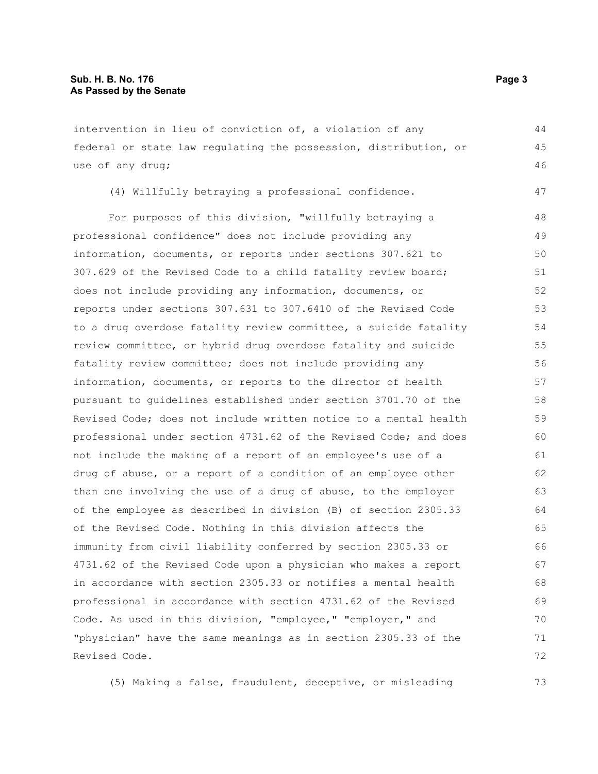intervention in lieu of conviction of, a violation of any federal or state law regulating the possession, distribution, or use of any drug;

(4) Willfully betraying a professional confidence.

For purposes of this division, "willfully betraying a professional confidence" does not include providing any information, documents, or reports under sections 307.621 to 307.629 of the Revised Code to a child fatality review board; does not include providing any information, documents, or reports under sections 307.631 to 307.6410 of the Revised Code to a drug overdose fatality review committee, a suicide fatality review committee, or hybrid drug overdose fatality and suicide fatality review committee; does not include providing any information, documents, or reports to the director of health pursuant to guidelines established under section 3701.70 of the Revised Code; does not include written notice to a mental health professional under section 4731.62 of the Revised Code; and does not include the making of a report of an employee's use of a drug of abuse, or a report of a condition of an employee other than one involving the use of a drug of abuse, to the employer of the employee as described in division (B) of section 2305.33 of the Revised Code. Nothing in this division affects the immunity from civil liability conferred by section 2305.33 or 4731.62 of the Revised Code upon a physician who makes a report in accordance with section 2305.33 or notifies a mental health professional in accordance with section 4731.62 of the Revised Code. As used in this division, "employee," "employer," and "physician" have the same meanings as in section 2305.33 of the Revised Code. 48 49 50 51 52 53 54 55 56 57 58 59 60 61 62 63 64 65 66 67 68 69 70 71 72

(5) Making a false, fraudulent, deceptive, or misleading

44 45 46

47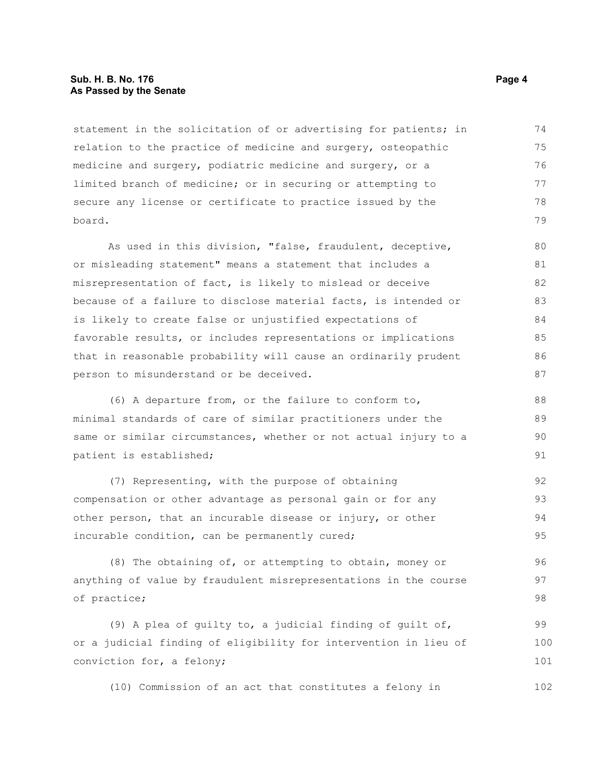#### **Sub. H. B. No. 176 Page 4 As Passed by the Senate**

statement in the solicitation of or advertising for patients; in relation to the practice of medicine and surgery, osteopathic medicine and surgery, podiatric medicine and surgery, or a limited branch of medicine; or in securing or attempting to secure any license or certificate to practice issued by the board. 74 75 76 77 78 79

As used in this division, "false, fraudulent, deceptive, or misleading statement" means a statement that includes a misrepresentation of fact, is likely to mislead or deceive because of a failure to disclose material facts, is intended or is likely to create false or unjustified expectations of favorable results, or includes representations or implications that in reasonable probability will cause an ordinarily prudent person to misunderstand or be deceived. 80 81 82 83 84 85 86 87

(6) A departure from, or the failure to conform to, minimal standards of care of similar practitioners under the same or similar circumstances, whether or not actual injury to a patient is established;

(7) Representing, with the purpose of obtaining compensation or other advantage as personal gain or for any other person, that an incurable disease or injury, or other incurable condition, can be permanently cured; 92 93 94 95

(8) The obtaining of, or attempting to obtain, money or anything of value by fraudulent misrepresentations in the course of practice; 96 97 98

(9) A plea of guilty to, a judicial finding of guilt of, or a judicial finding of eligibility for intervention in lieu of conviction for, a felony; 99 100 101

(10) Commission of an act that constitutes a felony in 102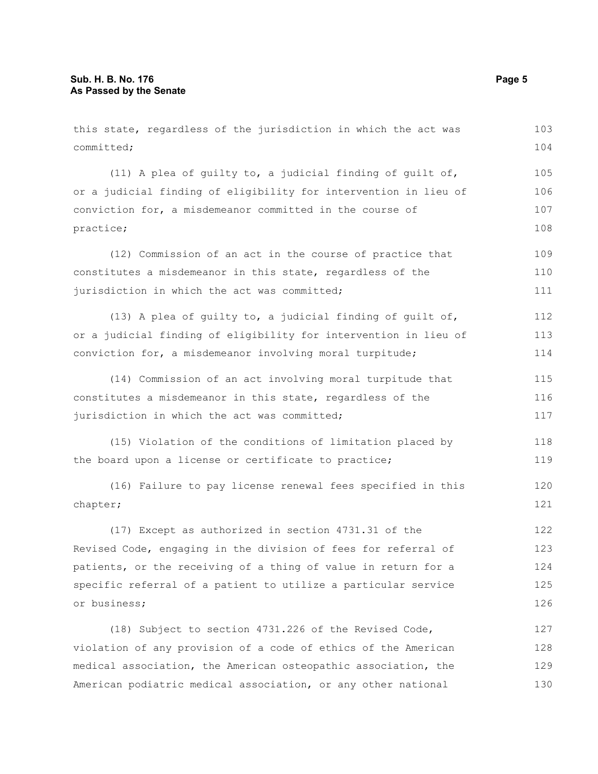this state, regardless of the jurisdiction in which the act was committed; (11) A plea of guilty to, a judicial finding of guilt of, or a judicial finding of eligibility for intervention in lieu of conviction for, a misdemeanor committed in the course of practice; (12) Commission of an act in the course of practice that constitutes a misdemeanor in this state, regardless of the jurisdiction in which the act was committed; (13) A plea of guilty to, a judicial finding of guilt of, or a judicial finding of eligibility for intervention in lieu of conviction for, a misdemeanor involving moral turpitude; (14) Commission of an act involving moral turpitude that constitutes a misdemeanor in this state, regardless of the jurisdiction in which the act was committed; (15) Violation of the conditions of limitation placed by the board upon a license or certificate to practice; (16) Failure to pay license renewal fees specified in this chapter; (17) Except as authorized in section 4731.31 of the Revised Code, engaging in the division of fees for referral of patients, or the receiving of a thing of value in return for a specific referral of a patient to utilize a particular service or business; (18) Subject to section 4731.226 of the Revised Code, violation of any provision of a code of ethics of the American medical association, the American osteopathic association, the 103 104 105 106 107 108 109 110 111 112 113 114 115 116 117 118 119 120 121 122 123 124 125 126 127 128 129

American podiatric medical association, or any other national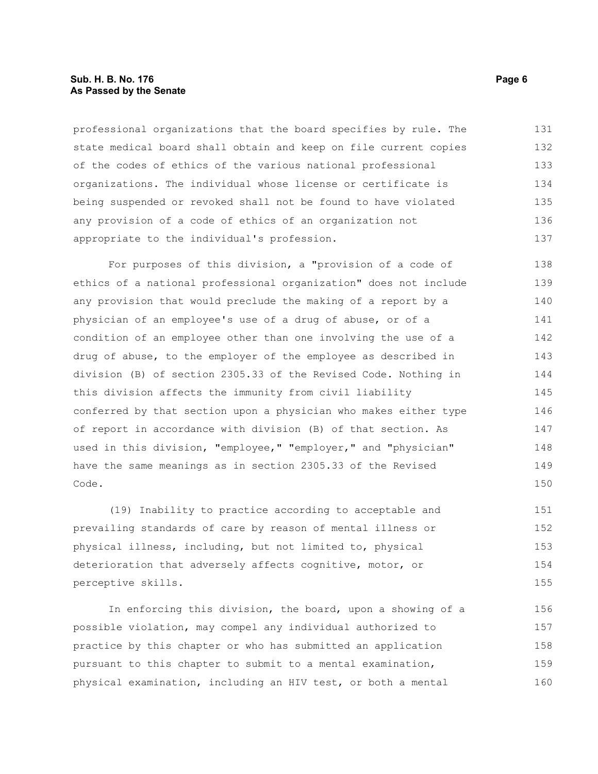#### **Sub. H. B. No. 176 Page 6 As Passed by the Senate**

professional organizations that the board specifies by rule. The state medical board shall obtain and keep on file current copies of the codes of ethics of the various national professional organizations. The individual whose license or certificate is being suspended or revoked shall not be found to have violated any provision of a code of ethics of an organization not appropriate to the individual's profession. 131 132 133 134 135 136 137

For purposes of this division, a "provision of a code of ethics of a national professional organization" does not include any provision that would preclude the making of a report by a physician of an employee's use of a drug of abuse, or of a condition of an employee other than one involving the use of a drug of abuse, to the employer of the employee as described in division (B) of section 2305.33 of the Revised Code. Nothing in this division affects the immunity from civil liability conferred by that section upon a physician who makes either type of report in accordance with division (B) of that section. As used in this division, "employee," "employer," and "physician" have the same meanings as in section 2305.33 of the Revised Code. 138 139 140 141 142 143 144 145 146 147 148 149 150

(19) Inability to practice according to acceptable and prevailing standards of care by reason of mental illness or physical illness, including, but not limited to, physical deterioration that adversely affects cognitive, motor, or perceptive skills. 151 152 153 154 155

In enforcing this division, the board, upon a showing of a possible violation, may compel any individual authorized to practice by this chapter or who has submitted an application pursuant to this chapter to submit to a mental examination, physical examination, including an HIV test, or both a mental 156 157 158 159 160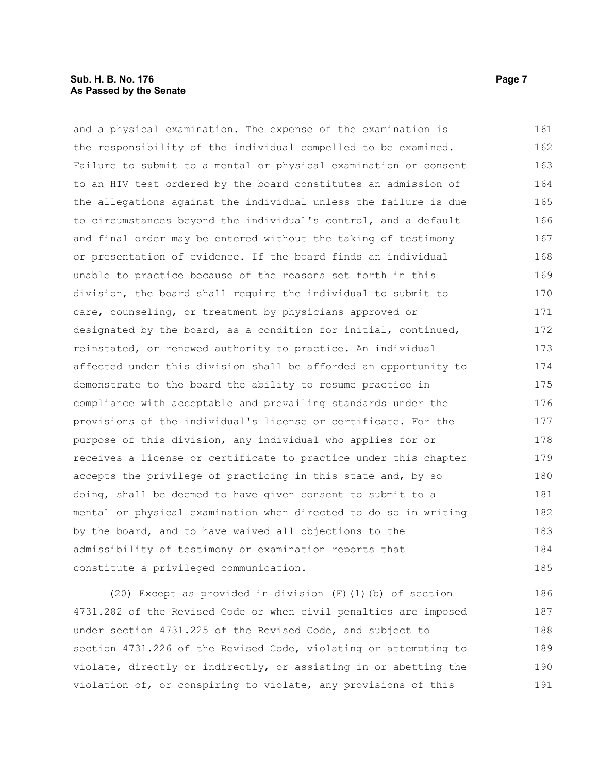#### **Sub. H. B. No. 176 Page 7 As Passed by the Senate**

and a physical examination. The expense of the examination is the responsibility of the individual compelled to be examined. Failure to submit to a mental or physical examination or consent to an HIV test ordered by the board constitutes an admission of the allegations against the individual unless the failure is due to circumstances beyond the individual's control, and a default and final order may be entered without the taking of testimony or presentation of evidence. If the board finds an individual unable to practice because of the reasons set forth in this division, the board shall require the individual to submit to care, counseling, or treatment by physicians approved or designated by the board, as a condition for initial, continued, reinstated, or renewed authority to practice. An individual affected under this division shall be afforded an opportunity to demonstrate to the board the ability to resume practice in compliance with acceptable and prevailing standards under the provisions of the individual's license or certificate. For the purpose of this division, any individual who applies for or receives a license or certificate to practice under this chapter accepts the privilege of practicing in this state and, by so doing, shall be deemed to have given consent to submit to a mental or physical examination when directed to do so in writing by the board, and to have waived all objections to the admissibility of testimony or examination reports that constitute a privileged communication. 161 162 163 164 165 166 167 168 169 170 171 172 173 174 175 176 177 178 179 180 181 182 183 184 185

(20) Except as provided in division (F)(1)(b) of section 4731.282 of the Revised Code or when civil penalties are imposed under section 4731.225 of the Revised Code, and subject to section 4731.226 of the Revised Code, violating or attempting to violate, directly or indirectly, or assisting in or abetting the violation of, or conspiring to violate, any provisions of this 186 187 188 189 190 191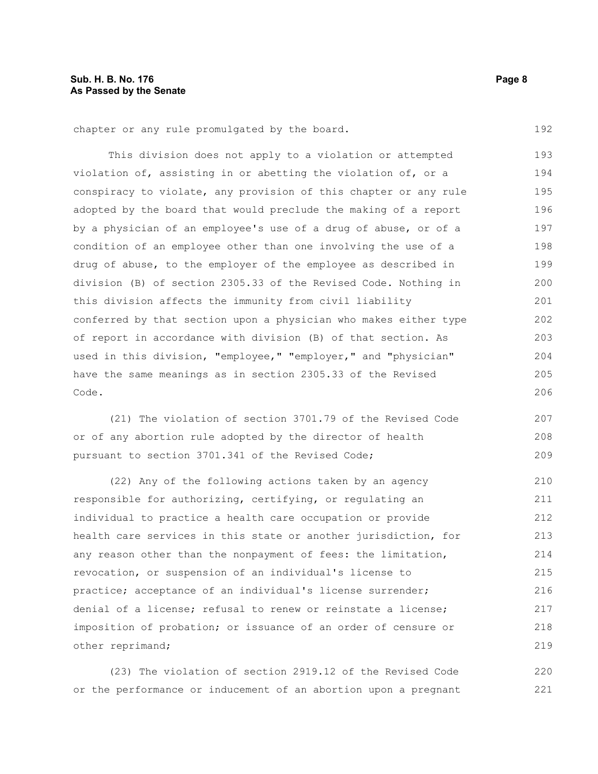chapter or any rule promulgated by the board.

This division does not apply to a violation or attempted violation of, assisting in or abetting the violation of, or a conspiracy to violate, any provision of this chapter or any rule adopted by the board that would preclude the making of a report by a physician of an employee's use of a drug of abuse, or of a condition of an employee other than one involving the use of a drug of abuse, to the employer of the employee as described in division (B) of section 2305.33 of the Revised Code. Nothing in this division affects the immunity from civil liability conferred by that section upon a physician who makes either type of report in accordance with division (B) of that section. As used in this division, "employee," "employer," and "physician" have the same meanings as in section 2305.33 of the Revised Code. 193 194 195 196 197 198 199 200 201 202 203 204 205 206

(21) The violation of section 3701.79 of the Revised Code or of any abortion rule adopted by the director of health pursuant to section 3701.341 of the Revised Code; 207 208 209

(22) Any of the following actions taken by an agency responsible for authorizing, certifying, or regulating an individual to practice a health care occupation or provide health care services in this state or another jurisdiction, for any reason other than the nonpayment of fees: the limitation, revocation, or suspension of an individual's license to practice; acceptance of an individual's license surrender; denial of a license; refusal to renew or reinstate a license; imposition of probation; or issuance of an order of censure or other reprimand; 210 211 212 213 214 215 216 217 218 219

(23) The violation of section 2919.12 of the Revised Code or the performance or inducement of an abortion upon a pregnant 220 221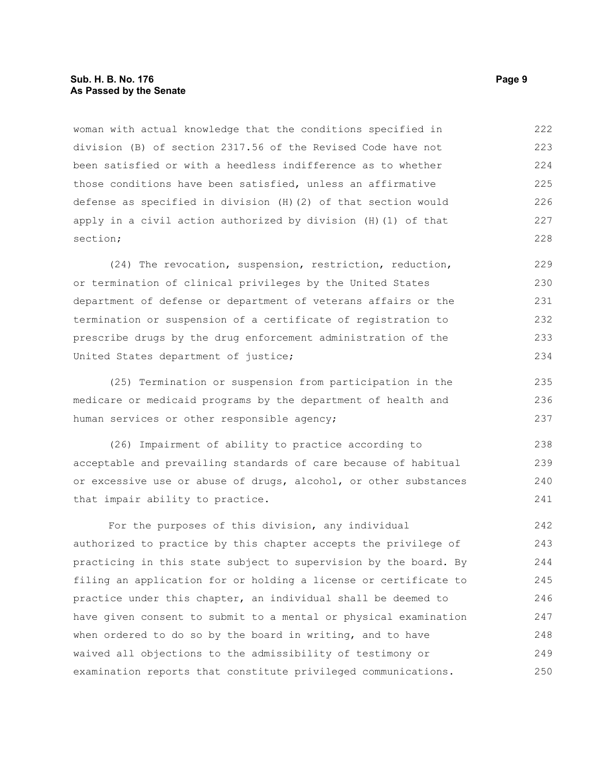#### **Sub. H. B. No. 176 Page 9 As Passed by the Senate**

woman with actual knowledge that the conditions specified in division (B) of section 2317.56 of the Revised Code have not been satisfied or with a heedless indifference as to whether those conditions have been satisfied, unless an affirmative defense as specified in division (H)(2) of that section would apply in a civil action authorized by division (H)(1) of that section; 222 223 224 225 226 227 228

(24) The revocation, suspension, restriction, reduction, or termination of clinical privileges by the United States department of defense or department of veterans affairs or the termination or suspension of a certificate of registration to prescribe drugs by the drug enforcement administration of the United States department of justice; 229 230 231 232 233 234

(25) Termination or suspension from participation in the medicare or medicaid programs by the department of health and human services or other responsible agency;

(26) Impairment of ability to practice according to acceptable and prevailing standards of care because of habitual or excessive use or abuse of drugs, alcohol, or other substances that impair ability to practice. 238 239 240 241

For the purposes of this division, any individual authorized to practice by this chapter accepts the privilege of practicing in this state subject to supervision by the board. By filing an application for or holding a license or certificate to practice under this chapter, an individual shall be deemed to have given consent to submit to a mental or physical examination when ordered to do so by the board in writing, and to have waived all objections to the admissibility of testimony or examination reports that constitute privileged communications. 242 243 244 245 246 247 248 249 250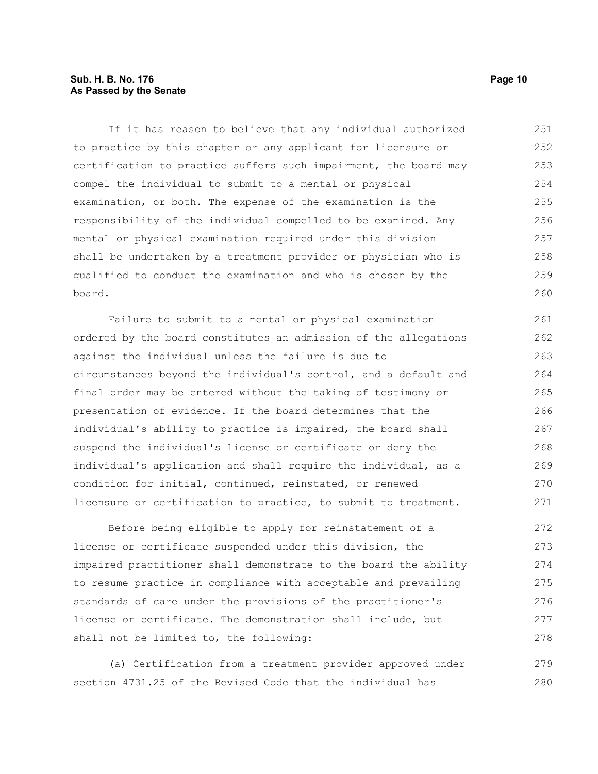#### **Sub. H. B. No. 176 Page 10 As Passed by the Senate**

If it has reason to believe that any individual authorized to practice by this chapter or any applicant for licensure or certification to practice suffers such impairment, the board may compel the individual to submit to a mental or physical examination, or both. The expense of the examination is the responsibility of the individual compelled to be examined. Any mental or physical examination required under this division shall be undertaken by a treatment provider or physician who is qualified to conduct the examination and who is chosen by the board. 251 252 253 254 255 256 257 258 259 260

Failure to submit to a mental or physical examination ordered by the board constitutes an admission of the allegations against the individual unless the failure is due to circumstances beyond the individual's control, and a default and final order may be entered without the taking of testimony or presentation of evidence. If the board determines that the individual's ability to practice is impaired, the board shall suspend the individual's license or certificate or deny the individual's application and shall require the individual, as a condition for initial, continued, reinstated, or renewed licensure or certification to practice, to submit to treatment. 261 262 263 264 265 266 267 268 269 270 271

Before being eligible to apply for reinstatement of a license or certificate suspended under this division, the impaired practitioner shall demonstrate to the board the ability to resume practice in compliance with acceptable and prevailing standards of care under the provisions of the practitioner's license or certificate. The demonstration shall include, but shall not be limited to, the following: 272 273 274 275 276 277 278

(a) Certification from a treatment provider approved under section 4731.25 of the Revised Code that the individual has 279 280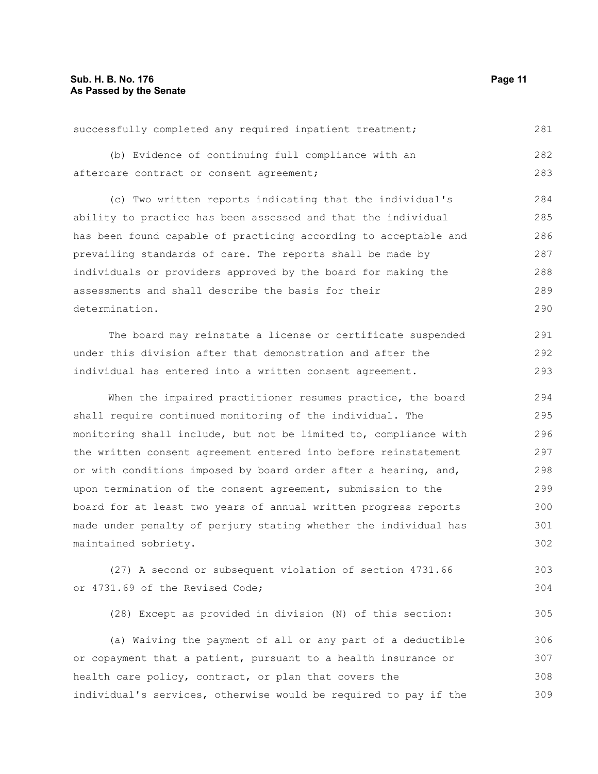| assessments and shall describe the basis for their               | 289 |
|------------------------------------------------------------------|-----|
| determination.                                                   | 290 |
| The board may reinstate a license or certificate suspended       | 291 |
| under this division after that demonstration and after the       | 292 |
| individual has entered into a written consent agreement.         | 293 |
| When the impaired practitioner resumes practice, the board       | 294 |
| shall require continued monitoring of the individual. The        | 295 |
| monitoring shall include, but not be limited to, compliance with | 296 |
| the written consent agreement entered into before reinstatement  | 297 |
| or with conditions imposed by board order after a hearing, and,  | 298 |
| upon termination of the consent agreement, submission to the     | 299 |
| board for at least two years of annual written progress reports  | 300 |
| made under penalty of perjury stating whether the individual has | 301 |
| maintained sobriety.                                             | 302 |
| (27) A second or subsequent violation of section 4731.66         | 303 |

or 4731.69 of the Revised Code;

successfully completed any required inpatient treatment;

aftercare contract or consent agreement;

(b) Evidence of continuing full compliance with an

ability to practice has been assessed and that the individual

individuals or providers approved by the board for making the

prevailing standards of care. The reports shall be made by

has been found capable of practicing according to acceptable and

(c) Two written reports indicating that the individual's

(28) Except as provided in division (N) of this section:

(a) Waiving the payment of all or any part of a deductible or copayment that a patient, pursuant to a health insurance or health care policy, contract, or plan that covers the individual's services, otherwise would be required to pay if the 306 307 308 309

281

282 283

304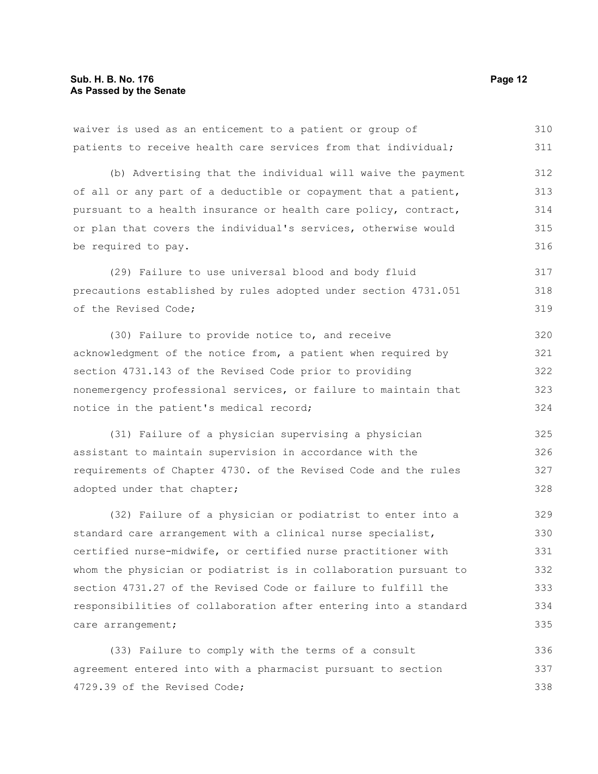waiver is used as an enticement to a patient or group of patients to receive health care services from that individual; (b) Advertising that the individual will waive the payment of all or any part of a deductible or copayment that a patient, pursuant to a health insurance or health care policy, contract, or plan that covers the individual's services, otherwise would be required to pay. (29) Failure to use universal blood and body fluid precautions established by rules adopted under section 4731.051 of the Revised Code; (30) Failure to provide notice to, and receive 310 311 312 313 314 315 316 317 318 319 320

acknowledgment of the notice from, a patient when required by section 4731.143 of the Revised Code prior to providing nonemergency professional services, or failure to maintain that notice in the patient's medical record; 321 322 323 324

(31) Failure of a physician supervising a physician assistant to maintain supervision in accordance with the requirements of Chapter 4730. of the Revised Code and the rules adopted under that chapter; 325 326 327 328

(32) Failure of a physician or podiatrist to enter into a standard care arrangement with a clinical nurse specialist, certified nurse-midwife, or certified nurse practitioner with whom the physician or podiatrist is in collaboration pursuant to section 4731.27 of the Revised Code or failure to fulfill the responsibilities of collaboration after entering into a standard care arrangement; 329 330 331 332 333 334 335

(33) Failure to comply with the terms of a consult agreement entered into with a pharmacist pursuant to section 4729.39 of the Revised Code; 336 337 338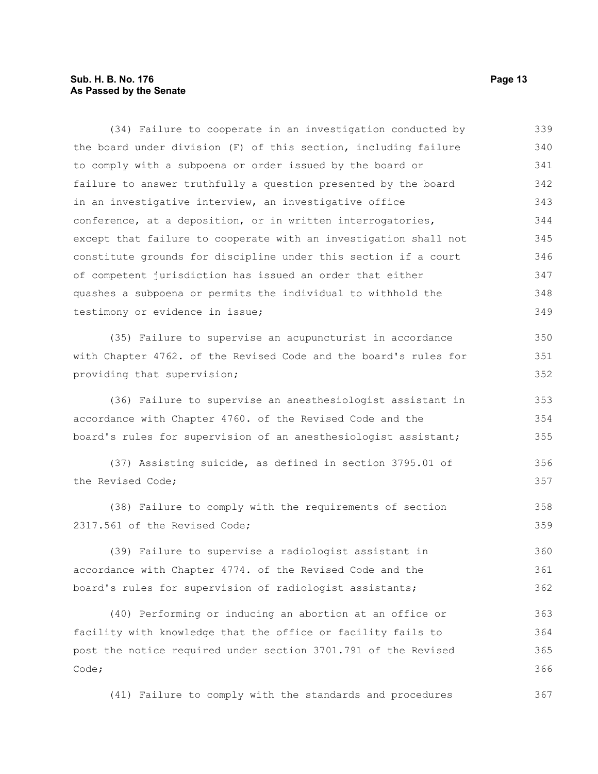#### **Sub. H. B. No. 176 Page 13 As Passed by the Senate**

(34) Failure to cooperate in an investigation conducted by the board under division (F) of this section, including failure to comply with a subpoena or order issued by the board or failure to answer truthfully a question presented by the board in an investigative interview, an investigative office conference, at a deposition, or in written interrogatories, except that failure to cooperate with an investigation shall not constitute grounds for discipline under this section if a court of competent jurisdiction has issued an order that either quashes a subpoena or permits the individual to withhold the testimony or evidence in issue; 339 340 341 342 343 344 345 346 347 348 349

(35) Failure to supervise an acupuncturist in accordance with Chapter 4762. of the Revised Code and the board's rules for providing that supervision;

(36) Failure to supervise an anesthesiologist assistant in accordance with Chapter 4760. of the Revised Code and the board's rules for supervision of an anesthesiologist assistant; 353 354 355

(37) Assisting suicide, as defined in section 3795.01 of the Revised Code; 356 357

(38) Failure to comply with the requirements of section 2317.561 of the Revised Code; 358 359

(39) Failure to supervise a radiologist assistant in accordance with Chapter 4774. of the Revised Code and the board's rules for supervision of radiologist assistants; 360 361 362

(40) Performing or inducing an abortion at an office or facility with knowledge that the office or facility fails to post the notice required under section 3701.791 of the Revised Code; 363 364 365 366

(41) Failure to comply with the standards and procedures 367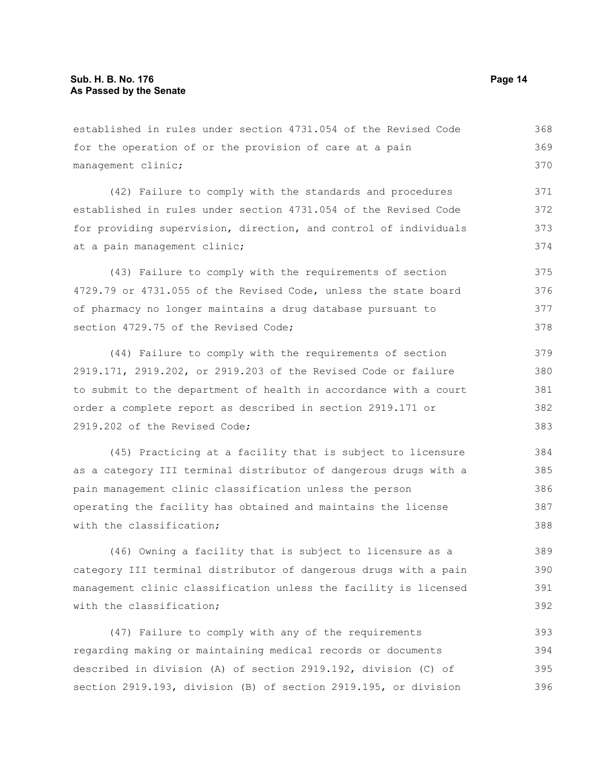established in rules under section 4731.054 of the Revised Code for the operation of or the provision of care at a pain management clinic; (42) Failure to comply with the standards and procedures established in rules under section 4731.054 of the Revised Code for providing supervision, direction, and control of individuals at a pain management clinic; (43) Failure to comply with the requirements of section 4729.79 or 4731.055 of the Revised Code, unless the state board of pharmacy no longer maintains a drug database pursuant to section 4729.75 of the Revised Code; (44) Failure to comply with the requirements of section 2919.171, 2919.202, or 2919.203 of the Revised Code or failure to submit to the department of health in accordance with a court order a complete report as described in section 2919.171 or 368 369 370 371 372 373 374 375 376 377 378 379 380 381 382

2919.202 of the Revised Code;

(45) Practicing at a facility that is subject to licensure as a category III terminal distributor of dangerous drugs with a pain management clinic classification unless the person operating the facility has obtained and maintains the license with the classification; 384 385 386 387 388

(46) Owning a facility that is subject to licensure as a category III terminal distributor of dangerous drugs with a pain management clinic classification unless the facility is licensed with the classification:

(47) Failure to comply with any of the requirements regarding making or maintaining medical records or documents described in division (A) of section 2919.192, division (C) of section 2919.193, division (B) of section 2919.195, or division 393 394 395 396

383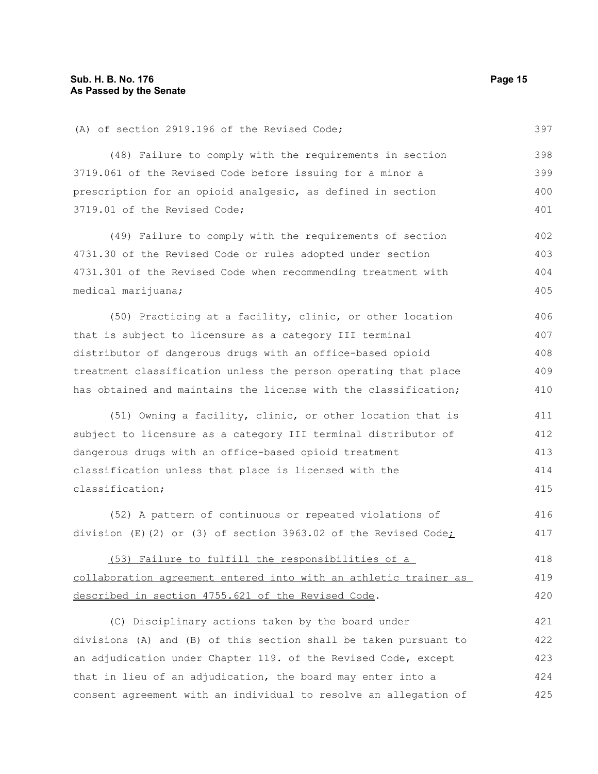prescription for an opioid analgesic, as defined in section 3719.01 of the Revised Code; (49) Failure to comply with the requirements of section 4731.30 of the Revised Code or rules adopted under section 4731.301 of the Revised Code when recommending treatment with medical marijuana; (50) Practicing at a facility, clinic, or other location that is subject to licensure as a category III terminal distributor of dangerous drugs with an office-based opioid treatment classification unless the person operating that place has obtained and maintains the license with the classification; 399 400 401 402 403 404 405 406 407 408 409 410

(51) Owning a facility, clinic, or other location that is subject to licensure as a category III terminal distributor of dangerous drugs with an office-based opioid treatment classification unless that place is licensed with the classification; 411 412 413 414 415

(52) A pattern of continuous or repeated violations of division (E)(2) or (3) of section 3963.02 of the Revised Code; 416 417

(53) Failure to fulfill the responsibilities of a collaboration agreement entered into with an athletic trainer as described in section 4755.621 of the Revised Code. 418 419 420

(C) Disciplinary actions taken by the board under divisions (A) and (B) of this section shall be taken pursuant to an adjudication under Chapter 119. of the Revised Code, except that in lieu of an adjudication, the board may enter into a consent agreement with an individual to resolve an allegation of 421 422 423 424 425

397

398

(A) of section 2919.196 of the Revised Code;

3719.061 of the Revised Code before issuing for a minor a

(48) Failure to comply with the requirements in section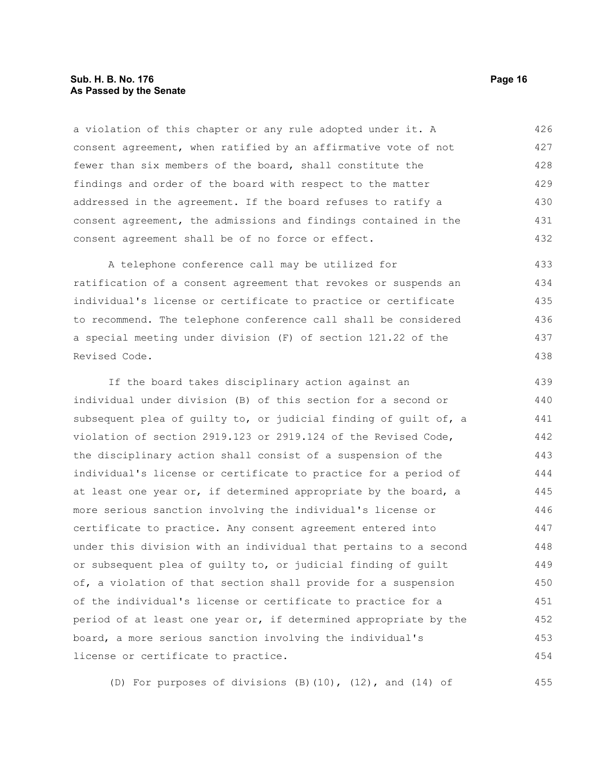#### **Sub. H. B. No. 176 Page 16 As Passed by the Senate**

a violation of this chapter or any rule adopted under it. A consent agreement, when ratified by an affirmative vote of not fewer than six members of the board, shall constitute the findings and order of the board with respect to the matter addressed in the agreement. If the board refuses to ratify a consent agreement, the admissions and findings contained in the consent agreement shall be of no force or effect. 426 427 428 429 430 431 432

A telephone conference call may be utilized for ratification of a consent agreement that revokes or suspends an individual's license or certificate to practice or certificate to recommend. The telephone conference call shall be considered a special meeting under division (F) of section 121.22 of the Revised Code. 433 434 435 436 437 438

If the board takes disciplinary action against an individual under division (B) of this section for a second or subsequent plea of guilty to, or judicial finding of guilt of, a violation of section 2919.123 or 2919.124 of the Revised Code, the disciplinary action shall consist of a suspension of the individual's license or certificate to practice for a period of at least one year or, if determined appropriate by the board, a more serious sanction involving the individual's license or certificate to practice. Any consent agreement entered into under this division with an individual that pertains to a second or subsequent plea of guilty to, or judicial finding of guilt of, a violation of that section shall provide for a suspension of the individual's license or certificate to practice for a period of at least one year or, if determined appropriate by the board, a more serious sanction involving the individual's license or certificate to practice. 439 440 441 442 443 444 445 446 447 448 449 450 451 452 453 454

(D) For purposes of divisions (B)(10), (12), and (14) of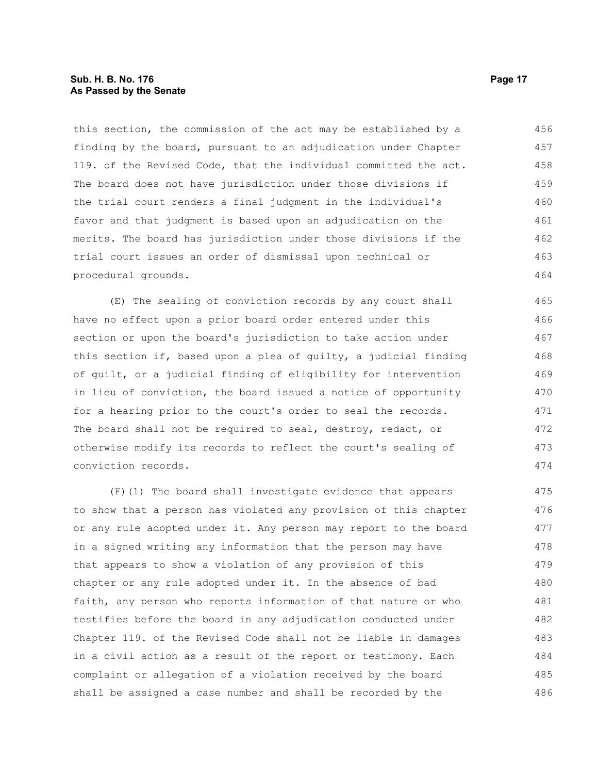#### **Sub. H. B. No. 176 Page 17 As Passed by the Senate**

this section, the commission of the act may be established by a finding by the board, pursuant to an adjudication under Chapter 119. of the Revised Code, that the individual committed the act. The board does not have jurisdiction under those divisions if the trial court renders a final judgment in the individual's favor and that judgment is based upon an adjudication on the merits. The board has jurisdiction under those divisions if the trial court issues an order of dismissal upon technical or procedural grounds. 456 457 458 459 460 461 462 463 464

(E) The sealing of conviction records by any court shall have no effect upon a prior board order entered under this section or upon the board's jurisdiction to take action under this section if, based upon a plea of guilty, a judicial finding of guilt, or a judicial finding of eligibility for intervention in lieu of conviction, the board issued a notice of opportunity for a hearing prior to the court's order to seal the records. The board shall not be required to seal, destroy, redact, or otherwise modify its records to reflect the court's sealing of conviction records.

(F)(1) The board shall investigate evidence that appears to show that a person has violated any provision of this chapter or any rule adopted under it. Any person may report to the board in a signed writing any information that the person may have that appears to show a violation of any provision of this chapter or any rule adopted under it. In the absence of bad faith, any person who reports information of that nature or who testifies before the board in any adjudication conducted under Chapter 119. of the Revised Code shall not be liable in damages in a civil action as a result of the report or testimony. Each complaint or allegation of a violation received by the board shall be assigned a case number and shall be recorded by the 475 476 477 478 479 480 481 482 483 484 485 486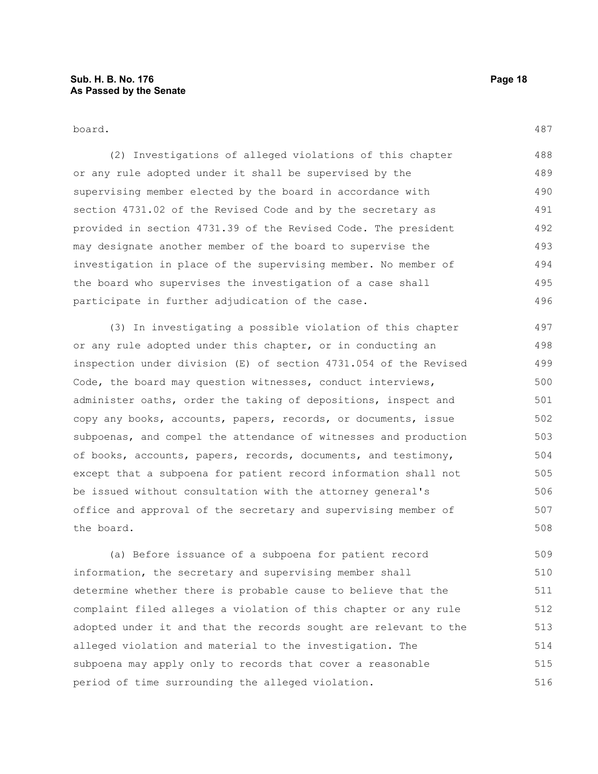board.

(2) Investigations of alleged violations of this chapter or any rule adopted under it shall be supervised by the supervising member elected by the board in accordance with section 4731.02 of the Revised Code and by the secretary as provided in section 4731.39 of the Revised Code. The president may designate another member of the board to supervise the investigation in place of the supervising member. No member of the board who supervises the investigation of a case shall participate in further adjudication of the case. 488 489 490 491 492 493 494 495 496

(3) In investigating a possible violation of this chapter or any rule adopted under this chapter, or in conducting an inspection under division (E) of section 4731.054 of the Revised Code, the board may question witnesses, conduct interviews, administer oaths, order the taking of depositions, inspect and copy any books, accounts, papers, records, or documents, issue subpoenas, and compel the attendance of witnesses and production of books, accounts, papers, records, documents, and testimony, except that a subpoena for patient record information shall not be issued without consultation with the attorney general's office and approval of the secretary and supervising member of the board. 497 498 499 500 501 502 503 504 505 506 507 508

(a) Before issuance of a subpoena for patient record information, the secretary and supervising member shall determine whether there is probable cause to believe that the complaint filed alleges a violation of this chapter or any rule adopted under it and that the records sought are relevant to the alleged violation and material to the investigation. The subpoena may apply only to records that cover a reasonable period of time surrounding the alleged violation. 509 510 511 512 513 514 515 516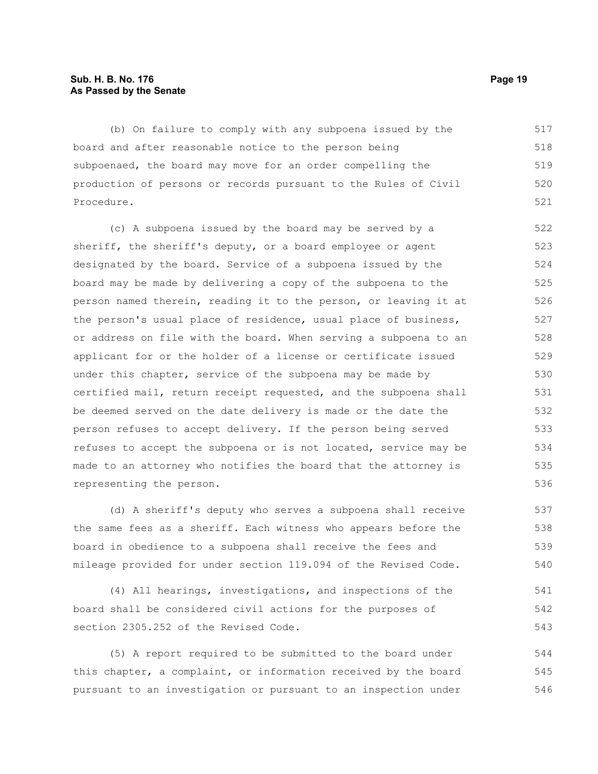#### **Sub. H. B. No. 176 Page 19 As Passed by the Senate**

(b) On failure to comply with any subpoena issued by the board and after reasonable notice to the person being subpoenaed, the board may move for an order compelling the production of persons or records pursuant to the Rules of Civil Procedure. 517 518 519 520 521

(c) A subpoena issued by the board may be served by a sheriff, the sheriff's deputy, or a board employee or agent designated by the board. Service of a subpoena issued by the board may be made by delivering a copy of the subpoena to the person named therein, reading it to the person, or leaving it at the person's usual place of residence, usual place of business, or address on file with the board. When serving a subpoena to an applicant for or the holder of a license or certificate issued under this chapter, service of the subpoena may be made by certified mail, return receipt requested, and the subpoena shall be deemed served on the date delivery is made or the date the person refuses to accept delivery. If the person being served refuses to accept the subpoena or is not located, service may be made to an attorney who notifies the board that the attorney is representing the person. 522 523 524 525 526 527 528 529 530 531 532 533 534 535 536

(d) A sheriff's deputy who serves a subpoena shall receive the same fees as a sheriff. Each witness who appears before the board in obedience to a subpoena shall receive the fees and mileage provided for under section 119.094 of the Revised Code.

(4) All hearings, investigations, and inspections of the board shall be considered civil actions for the purposes of section 2305.252 of the Revised Code.

(5) A report required to be submitted to the board under this chapter, a complaint, or information received by the board pursuant to an investigation or pursuant to an inspection under 544 545 546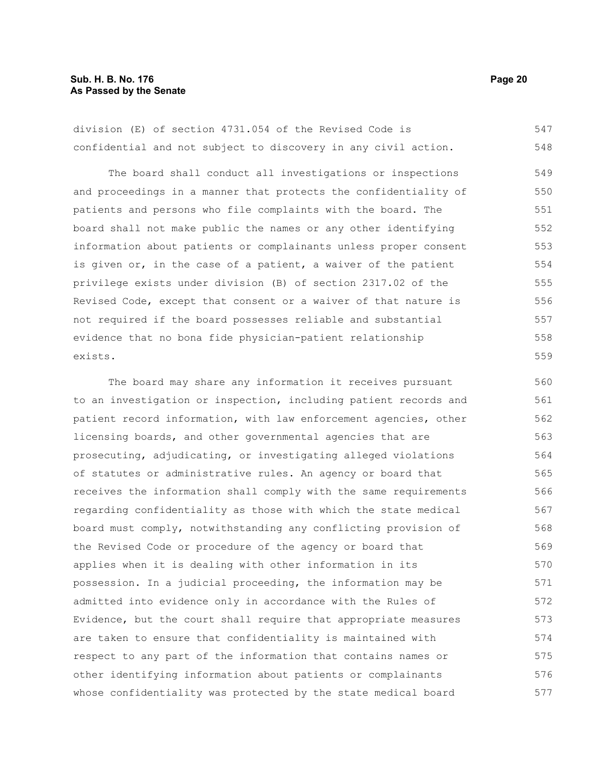#### **Sub. H. B. No. 176 Page 20 As Passed by the Senate**

division (E) of section 4731.054 of the Revised Code is confidential and not subject to discovery in any civil action. 547 548

The board shall conduct all investigations or inspections and proceedings in a manner that protects the confidentiality of patients and persons who file complaints with the board. The board shall not make public the names or any other identifying information about patients or complainants unless proper consent is given or, in the case of a patient, a waiver of the patient privilege exists under division (B) of section 2317.02 of the Revised Code, except that consent or a waiver of that nature is not required if the board possesses reliable and substantial evidence that no bona fide physician-patient relationship exists. 549 550 551 552 553 554 555 556 557 558 559

The board may share any information it receives pursuant to an investigation or inspection, including patient records and patient record information, with law enforcement agencies, other licensing boards, and other governmental agencies that are prosecuting, adjudicating, or investigating alleged violations of statutes or administrative rules. An agency or board that receives the information shall comply with the same requirements regarding confidentiality as those with which the state medical board must comply, notwithstanding any conflicting provision of the Revised Code or procedure of the agency or board that applies when it is dealing with other information in its possession. In a judicial proceeding, the information may be admitted into evidence only in accordance with the Rules of Evidence, but the court shall require that appropriate measures are taken to ensure that confidentiality is maintained with respect to any part of the information that contains names or other identifying information about patients or complainants whose confidentiality was protected by the state medical board 560 561 562 563 564 565 566 567 568 569 570 571 572 573 574 575 576 577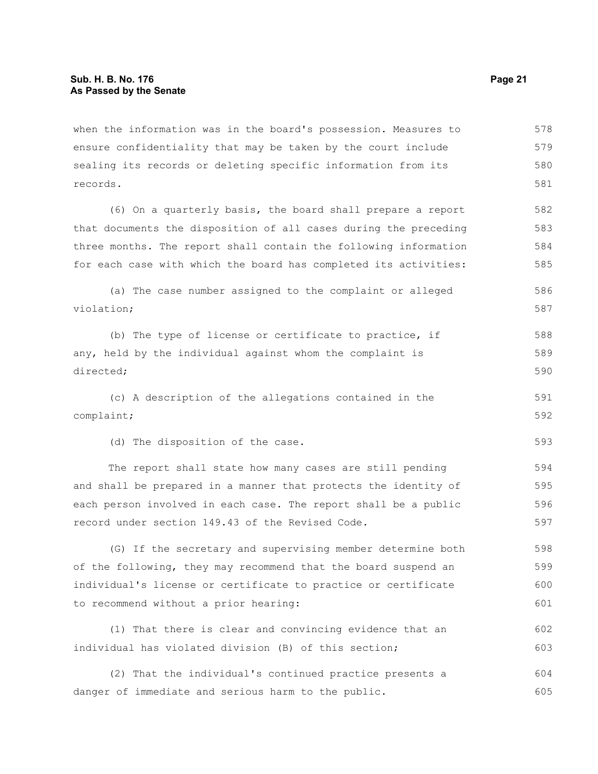when the information was in the board's possession. Measures to ensure confidentiality that may be taken by the court include sealing its records or deleting specific information from its records. 578 579 580 581

(6) On a quarterly basis, the board shall prepare a report that documents the disposition of all cases during the preceding three months. The report shall contain the following information for each case with which the board has completed its activities: 582 583 584 585

(a) The case number assigned to the complaint or alleged violation; 586 587

(b) The type of license or certificate to practice, if any, held by the individual against whom the complaint is directed; 588 589 590

(c) A description of the allegations contained in the complaint; 591 592

(d) The disposition of the case.

The report shall state how many cases are still pending and shall be prepared in a manner that protects the identity of each person involved in each case. The report shall be a public record under section 149.43 of the Revised Code. 594 595 596 597

(G) If the secretary and supervising member determine both of the following, they may recommend that the board suspend an individual's license or certificate to practice or certificate to recommend without a prior hearing: 598 599 600 601

(1) That there is clear and convincing evidence that an individual has violated division (B) of this section; 602 603

(2) That the individual's continued practice presents a danger of immediate and serious harm to the public. 604 605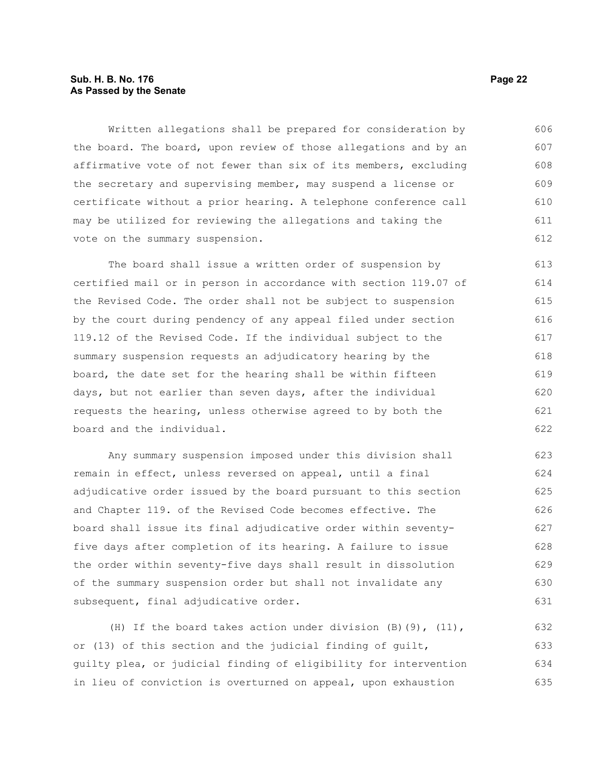#### **Sub. H. B. No. 176 Page 22 As Passed by the Senate**

Written allegations shall be prepared for consideration by the board. The board, upon review of those allegations and by an affirmative vote of not fewer than six of its members, excluding the secretary and supervising member, may suspend a license or certificate without a prior hearing. A telephone conference call may be utilized for reviewing the allegations and taking the vote on the summary suspension. 606 607 608 609 610 611 612

The board shall issue a written order of suspension by certified mail or in person in accordance with section 119.07 of the Revised Code. The order shall not be subject to suspension by the court during pendency of any appeal filed under section 119.12 of the Revised Code. If the individual subject to the summary suspension requests an adjudicatory hearing by the board, the date set for the hearing shall be within fifteen days, but not earlier than seven days, after the individual requests the hearing, unless otherwise agreed to by both the board and the individual. 613 614 615 616 617 618 619 620 621 622

Any summary suspension imposed under this division shall remain in effect, unless reversed on appeal, until a final adjudicative order issued by the board pursuant to this section and Chapter 119. of the Revised Code becomes effective. The board shall issue its final adjudicative order within seventyfive days after completion of its hearing. A failure to issue the order within seventy-five days shall result in dissolution of the summary suspension order but shall not invalidate any subsequent, final adjudicative order. 623 624 625 626 627 628 629 630 631

(H) If the board takes action under division  $(B)$  (9), (11), or (13) of this section and the judicial finding of guilt, guilty plea, or judicial finding of eligibility for intervention in lieu of conviction is overturned on appeal, upon exhaustion 632 633 634 635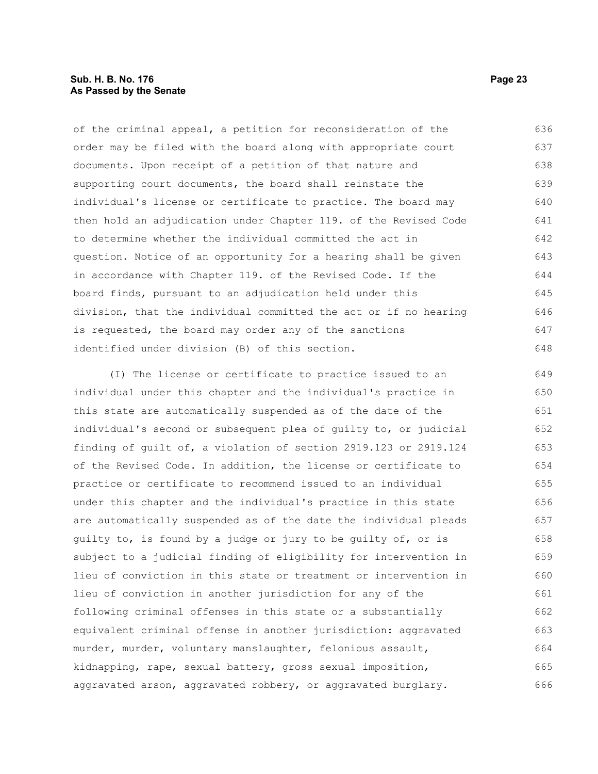#### **Sub. H. B. No. 176 Page 23 As Passed by the Senate**

of the criminal appeal, a petition for reconsideration of the order may be filed with the board along with appropriate court documents. Upon receipt of a petition of that nature and supporting court documents, the board shall reinstate the individual's license or certificate to practice. The board may then hold an adjudication under Chapter 119. of the Revised Code to determine whether the individual committed the act in question. Notice of an opportunity for a hearing shall be given in accordance with Chapter 119. of the Revised Code. If the board finds, pursuant to an adjudication held under this division, that the individual committed the act or if no hearing is requested, the board may order any of the sanctions identified under division (B) of this section. 636 637 638 639 640 641 642 643 644 645 646 647 648

(I) The license or certificate to practice issued to an individual under this chapter and the individual's practice in this state are automatically suspended as of the date of the individual's second or subsequent plea of guilty to, or judicial finding of guilt of, a violation of section 2919.123 or 2919.124 of the Revised Code. In addition, the license or certificate to practice or certificate to recommend issued to an individual under this chapter and the individual's practice in this state are automatically suspended as of the date the individual pleads guilty to, is found by a judge or jury to be guilty of, or is subject to a judicial finding of eligibility for intervention in lieu of conviction in this state or treatment or intervention in lieu of conviction in another jurisdiction for any of the following criminal offenses in this state or a substantially equivalent criminal offense in another jurisdiction: aggravated murder, murder, voluntary manslaughter, felonious assault, kidnapping, rape, sexual battery, gross sexual imposition, aggravated arson, aggravated robbery, or aggravated burglary. 649 650 651 652 653 654 655 656 657 658 659 660 661 662 663 664 665 666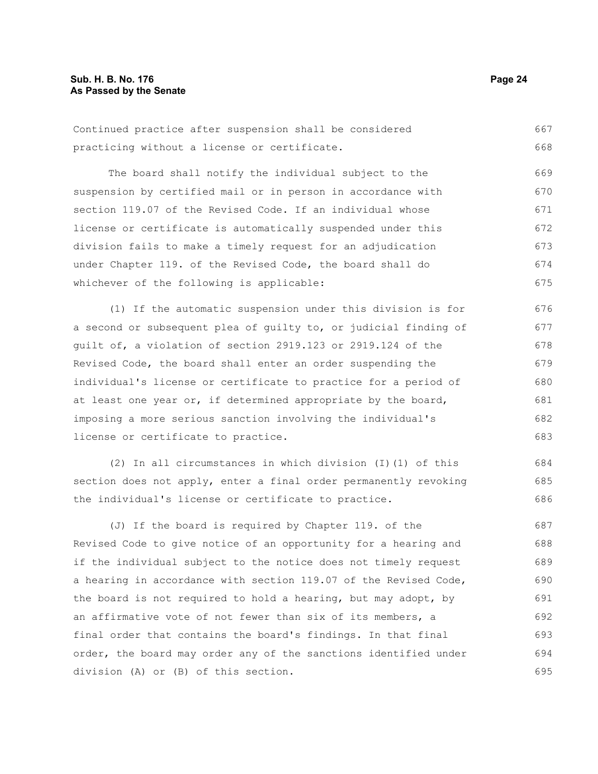|                                              |  |  | Continued practice after suspension shall be considered | 667 |
|----------------------------------------------|--|--|---------------------------------------------------------|-----|
| practicing without a license or certificate. |  |  |                                                         | 668 |

The board shall notify the individual subject to the suspension by certified mail or in person in accordance with section 119.07 of the Revised Code. If an individual whose license or certificate is automatically suspended under this division fails to make a timely request for an adjudication under Chapter 119. of the Revised Code, the board shall do whichever of the following is applicable: 669 670 671 672 673 674 675

(1) If the automatic suspension under this division is for a second or subsequent plea of guilty to, or judicial finding of guilt of, a violation of section 2919.123 or 2919.124 of the Revised Code, the board shall enter an order suspending the individual's license or certificate to practice for a period of at least one year or, if determined appropriate by the board, imposing a more serious sanction involving the individual's license or certificate to practice. 676 677 678 679 680 681 682 683

(2) In all circumstances in which division (I)(1) of this section does not apply, enter a final order permanently revoking the individual's license or certificate to practice. 684 685 686

(J) If the board is required by Chapter 119. of the Revised Code to give notice of an opportunity for a hearing and if the individual subject to the notice does not timely request a hearing in accordance with section 119.07 of the Revised Code, the board is not required to hold a hearing, but may adopt, by an affirmative vote of not fewer than six of its members, a final order that contains the board's findings. In that final order, the board may order any of the sanctions identified under division (A) or (B) of this section. 687 688 689 690 691 692 693 694 695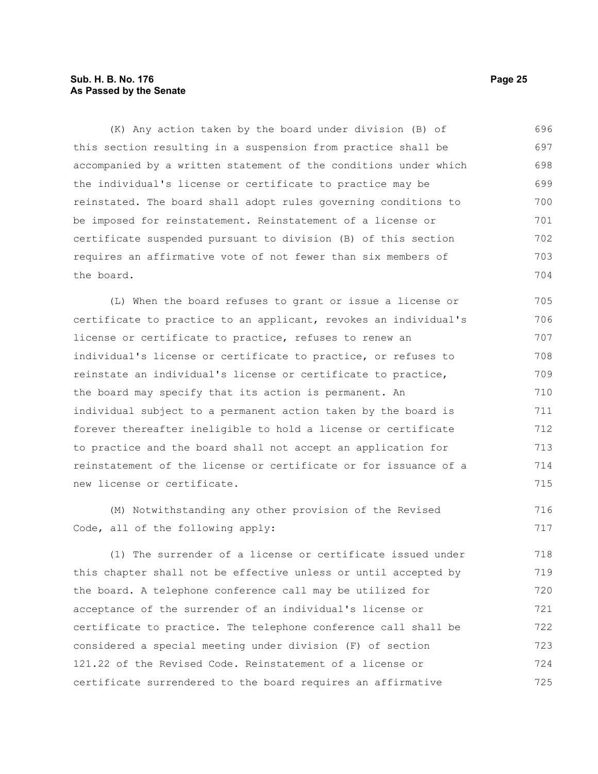#### **Sub. H. B. No. 176 Page 25 As Passed by the Senate**

(K) Any action taken by the board under division (B) of this section resulting in a suspension from practice shall be accompanied by a written statement of the conditions under which the individual's license or certificate to practice may be reinstated. The board shall adopt rules governing conditions to be imposed for reinstatement. Reinstatement of a license or certificate suspended pursuant to division (B) of this section requires an affirmative vote of not fewer than six members of the board. 696 697 698 699 700 701 702 703 704

(L) When the board refuses to grant or issue a license or certificate to practice to an applicant, revokes an individual's license or certificate to practice, refuses to renew an individual's license or certificate to practice, or refuses to reinstate an individual's license or certificate to practice, the board may specify that its action is permanent. An individual subject to a permanent action taken by the board is forever thereafter ineligible to hold a license or certificate to practice and the board shall not accept an application for reinstatement of the license or certificate or for issuance of a new license or certificate. 705 706 707 708 709 710 711 712 713 714 715

(M) Notwithstanding any other provision of the Revised Code, all of the following apply: 716 717

(1) The surrender of a license or certificate issued under this chapter shall not be effective unless or until accepted by the board. A telephone conference call may be utilized for acceptance of the surrender of an individual's license or certificate to practice. The telephone conference call shall be considered a special meeting under division (F) of section 121.22 of the Revised Code. Reinstatement of a license or certificate surrendered to the board requires an affirmative 718 719 720 721 722 723 724 725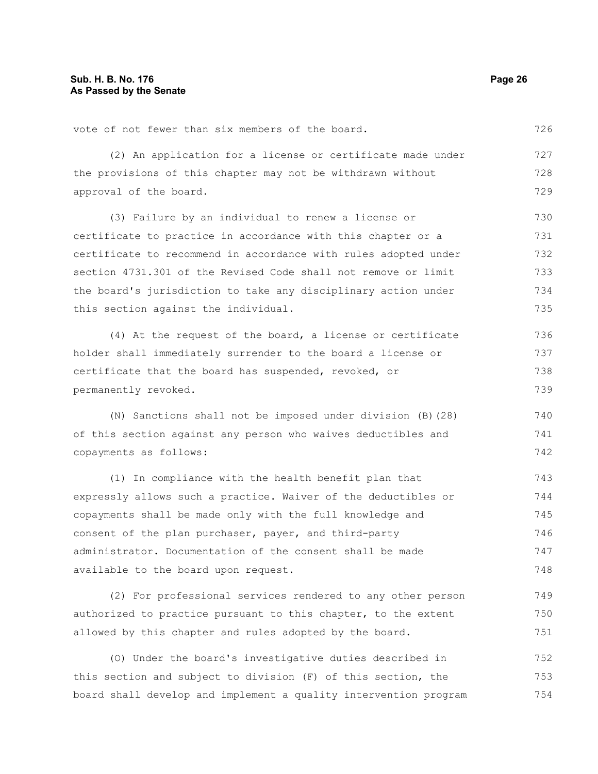vote of not fewer than six members of the board.

(2) An application for a license or certificate made under the provisions of this chapter may not be withdrawn without approval of the board. 727 728 729

(3) Failure by an individual to renew a license or certificate to practice in accordance with this chapter or a certificate to recommend in accordance with rules adopted under section 4731.301 of the Revised Code shall not remove or limit the board's jurisdiction to take any disciplinary action under this section against the individual. 730 731 732 733 734 735

(4) At the request of the board, a license or certificate holder shall immediately surrender to the board a license or certificate that the board has suspended, revoked, or permanently revoked. 736 737 738 739

(N) Sanctions shall not be imposed under division (B)(28) of this section against any person who waives deductibles and copayments as follows:

(1) In compliance with the health benefit plan that expressly allows such a practice. Waiver of the deductibles or copayments shall be made only with the full knowledge and consent of the plan purchaser, payer, and third-party administrator. Documentation of the consent shall be made available to the board upon request. 743 744 745 746 747 748

(2) For professional services rendered to any other person authorized to practice pursuant to this chapter, to the extent allowed by this chapter and rules adopted by the board. 749 750 751

(O) Under the board's investigative duties described in this section and subject to division (F) of this section, the board shall develop and implement a quality intervention program 752 753 754

726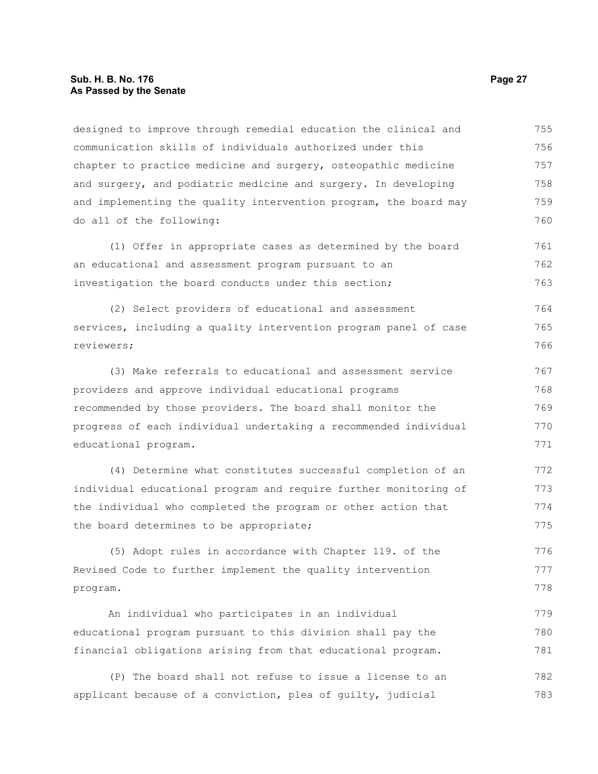#### **Sub. H. B. No. 176 Page 27 As Passed by the Senate**

designed to improve through remedial education the clinical and communication skills of individuals authorized under this chapter to practice medicine and surgery, osteopathic medicine and surgery, and podiatric medicine and surgery. In developing and implementing the quality intervention program, the board may do all of the following: (1) Offer in appropriate cases as determined by the board an educational and assessment program pursuant to an investigation the board conducts under this section; (2) Select providers of educational and assessment services, including a quality intervention program panel of case reviewers; (3) Make referrals to educational and assessment service providers and approve individual educational programs recommended by those providers. The board shall monitor the progress of each individual undertaking a recommended individual educational program. (4) Determine what constitutes successful completion of an individual educational program and require further monitoring of the individual who completed the program or other action that the board determines to be appropriate; (5) Adopt rules in accordance with Chapter 119. of the Revised Code to further implement the quality intervention program. An individual who participates in an individual educational program pursuant to this division shall pay the financial obligations arising from that educational program. (P) The board shall not refuse to issue a license to an applicant because of a conviction, plea of guilty, judicial 755 756 757 758 759 760 761 762 763 764 765 766 767 768 769 770 771 772 773 774 775 776 777 778 779 780 781 782 783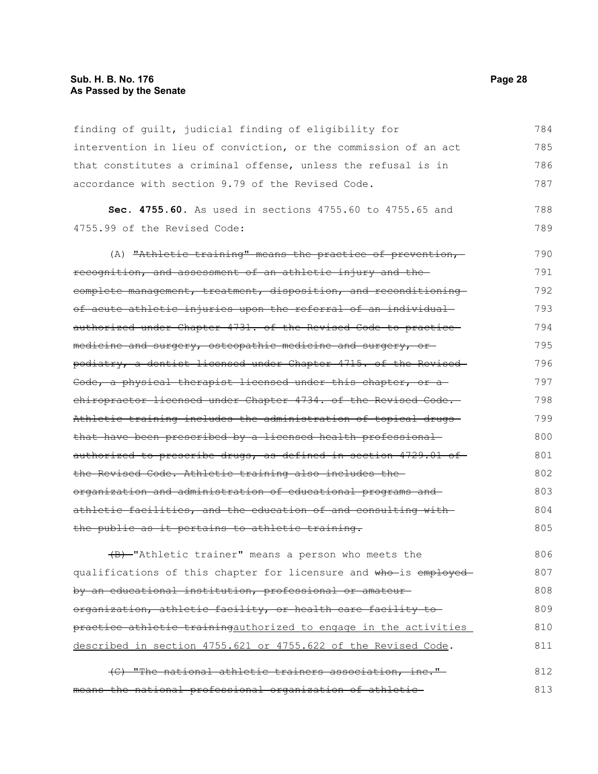#### **Sub. H. B. No. 176 Page 28 As Passed by the Senate**

finding of guilt, judicial finding of eligibility for intervention in lieu of conviction, or the commission of an act that constitutes a criminal offense, unless the refusal is in accordance with section 9.79 of the Revised Code. 784 785 786 787

**Sec. 4755.60.** As used in sections 4755.60 to 4755.65 and 4755.99 of the Revised Code: 788 789

(A) "Athletic training" means the practice of prevention,recognition, and assessment of an athletic injury and the complete management, treatment, disposition, and reconditioning of acute athletic injuries upon the referral of an individual authorized under Chapter 4731. of the Revised Code to practice medicine and surgery, osteopathic medicine and surgery, or podiatry, a dentist licensed under Chapter 4715. of the Revised Code, a physical therapist licensed under this chapter, or a chiropractor licensed under Chapter 4734. of the Revised Code. Athletic training includes the administration of topical drugs that have been prescribed by a licensed health professional authorized to prescribe drugs, as defined in section 4729.01 of the Revised Code. Athletic training also includes the organization and administration of educational programs and athletic facilities, and the education of and consulting with the public as it pertains to athletic training. 790 791 792 793 794 795 796 797 798 799 800 801 802 803 804 805

(B) "Athletic trainer" means a person who meets the qualifications of this chapter for licensure and who is employed by an educational institution, professional or amateur organization, athletic facility, or health care facility to practice athletic trainingauthorized to engage in the activities described in section 4755.621 or 4755.622 of the Revised Code. 806 807 808 809 810 811

(C) "The national athletic trainers association, inc." means the national professional organization of athletic 812 813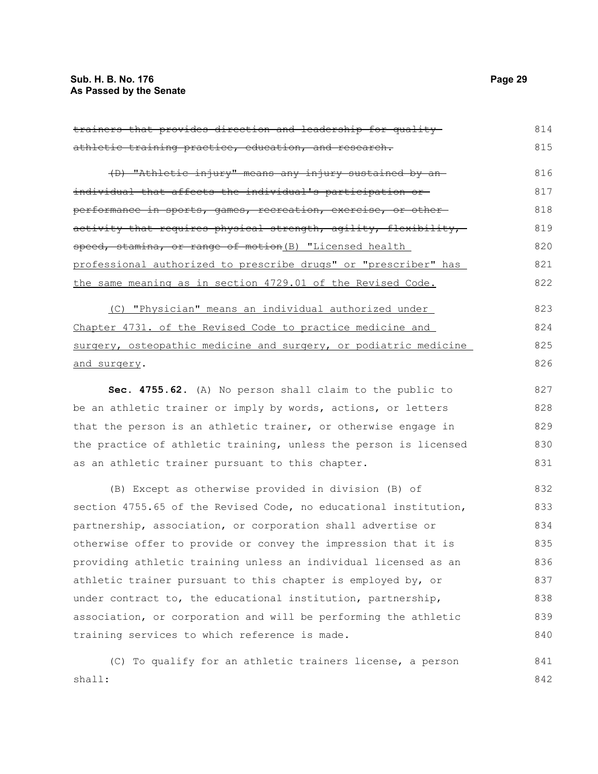shall:

| trainers that provides direction and leadership for quality-                 | 814 |
|------------------------------------------------------------------------------|-----|
| athletic training practice, education, and research.                         | 815 |
| (D) "Athletic injury" means any injury sustained by an-                      | 816 |
| individual that affects the individual's participation or-                   | 817 |
| <del>performance in sports, games, recreation, exercise, or other-</del>     | 818 |
| <del>activity that requires physical strength, agility, flexibility, -</del> | 819 |
| <del>speed, stamina, or range of motion</del> (B) "Licensed health _         | 820 |
| professional authorized to prescribe drugs" or "prescriber" has              | 821 |
| the same meaning as in section 4729.01 of the Revised Code.                  | 822 |
| (C) "Physician" means an individual authorized under                         | 823 |
| Chapter 4731. of the Revised Code to practice medicine and                   | 824 |
| surgery, osteopathic medicine and surgery, or podiatric medicine             | 825 |
| <u>and surgery</u> .                                                         | 826 |
| Sec. 4755.62. (A) No person shall claim to the public to                     | 827 |
| be an athletic trainer or imply by words, actions, or letters                | 828 |
| that the person is an athletic trainer, or otherwise engage in               | 829 |
| the practice of athletic training, unless the person is licensed             | 830 |
| as an athletic trainer pursuant to this chapter.                             | 831 |
| (B) Except as otherwise provided in division (B) of                          | 832 |
| section 4755.65 of the Revised Code, no educational institution,             | 833 |
| partnership, association, or corporation shall advertise or                  | 834 |
| otherwise offer to provide or convey the impression that it is               | 835 |
| providing athletic training unless an individual licensed as an              | 836 |
| athletic trainer pursuant to this chapter is employed by, or                 | 837 |
| under contract to, the educational institution, partnership,                 | 838 |
| association, or corporation and will be performing the athletic              | 839 |
| training services to which reference is made.                                | 840 |
| (C) To qualify for an athletic trainers license, a person                    | 841 |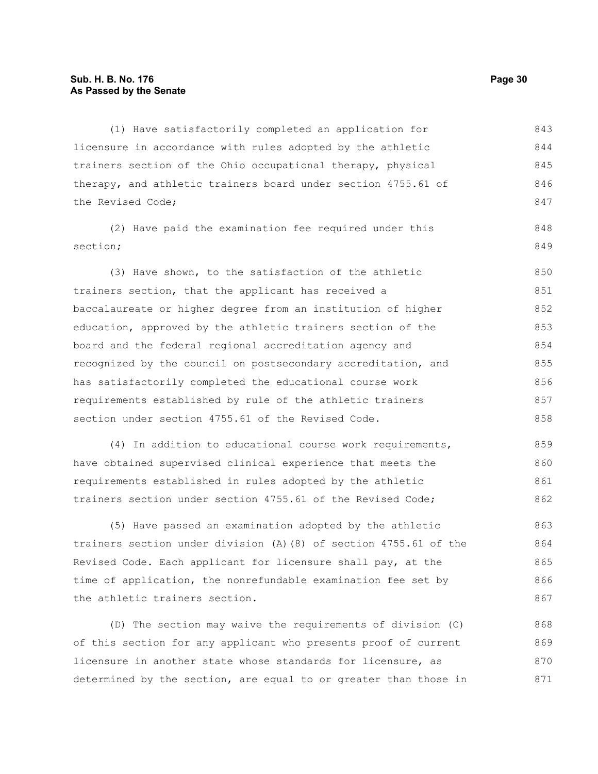#### **Sub. H. B. No. 176 Page 30 As Passed by the Senate**

(1) Have satisfactorily completed an application for licensure in accordance with rules adopted by the athletic trainers section of the Ohio occupational therapy, physical therapy, and athletic trainers board under section 4755.61 of the Revised Code; 843 844 845 846 847

(2) Have paid the examination fee required under this section;

(3) Have shown, to the satisfaction of the athletic trainers section, that the applicant has received a baccalaureate or higher degree from an institution of higher education, approved by the athletic trainers section of the board and the federal regional accreditation agency and recognized by the council on postsecondary accreditation, and has satisfactorily completed the educational course work requirements established by rule of the athletic trainers section under section 4755.61 of the Revised Code. 850 851 852 853 854 855 856 857 858

(4) In addition to educational course work requirements, have obtained supervised clinical experience that meets the requirements established in rules adopted by the athletic trainers section under section 4755.61 of the Revised Code; 859 860 861 862

(5) Have passed an examination adopted by the athletic trainers section under division (A)(8) of section 4755.61 of the Revised Code. Each applicant for licensure shall pay, at the time of application, the nonrefundable examination fee set by the athletic trainers section. 863 864 865 866 867

(D) The section may waive the requirements of division (C) of this section for any applicant who presents proof of current licensure in another state whose standards for licensure, as determined by the section, are equal to or greater than those in 868 869 870 871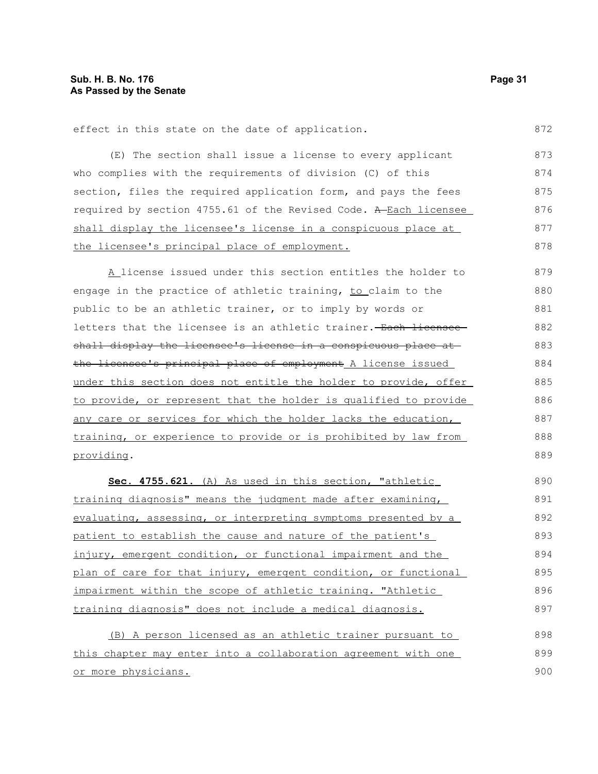effect in this state on the date of application. 872

(E) The section shall issue a license to every applicant who complies with the requirements of division (C) of this section, files the required application form, and pays the fees required by section 4755.61 of the Revised Code. A Each licensee shall display the licensee's license in a conspicuous place at the licensee's principal place of employment. 873 874 875 876 877 878

A license issued under this section entitles the holder to engage in the practice of athletic training, to claim to the public to be an athletic trainer, or to imply by words or letters that the licensee is an athletic trainer. Each licensee shall display the licensee's license in a conspicuous place at the licensee's principal place of employment A license issued under this section does not entitle the holder to provide, offer to provide, or represent that the holder is qualified to provide any care or services for which the holder lacks the education, training, or experience to provide or is prohibited by law from providing. 879 880 881 882 883 884 885 886 887 888 889

 **Sec. 4755.621.** (A) As used in this section, "athletic training diagnosis" means the judgment made after examining, evaluating, assessing, or interpreting symptoms presented by a patient to establish the cause and nature of the patient's injury, emergent condition, or functional impairment and the plan of care for that injury, emergent condition, or functional impairment within the scope of athletic training. "Athletic training diagnosis" does not include a medical diagnosis. 890 891 892 893 894 895 896 897

(B) A person licensed as an athletic trainer pursuant to this chapter may enter into a collaboration agreement with one or more physicians. 898 899 900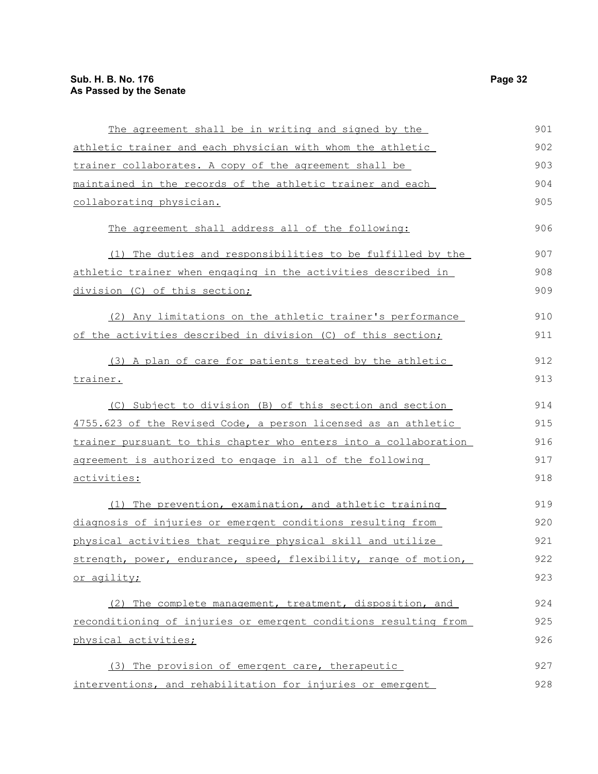| The agreement shall be in writing and signed by the              | 901 |
|------------------------------------------------------------------|-----|
| athletic trainer and each physician with whom the athletic       | 902 |
| trainer collaborates. A copy of the agreement shall be           | 903 |
| maintained in the records of the athletic trainer and each       | 904 |
| collaborating physician.                                         | 905 |
| The agreement shall address all of the following:                | 906 |
| (1) The duties and responsibilities to be fulfilled by the       | 907 |
| athletic trainer when engaging in the activities described in    | 908 |
| division (C) of this section;                                    | 909 |
| (2) Any limitations on the athletic trainer's performance        | 910 |
| of the activities described in division (C) of this section;     | 911 |
| (3) A plan of care for patients treated by the athletic          | 912 |
| trainer.                                                         | 913 |
| (C) Subject to division (B) of this section and section          | 914 |
| 4755.623 of the Revised Code, a person licensed as an athletic   | 915 |
| trainer pursuant to this chapter who enters into a collaboration | 916 |
| agreement is authorized to engage in all of the following        | 917 |
| activities:                                                      | 918 |
| (1) The prevention, examination, and athletic training           | 919 |
| diagnosis of injuries or emergent conditions resulting from      | 920 |
| physical activities that require physical skill and utilize      | 921 |
| strength, power, endurance, speed, flexibility, range of motion, | 922 |
| or agility;                                                      | 923 |
| (2) The complete management, treatment, disposition, and         | 924 |
| reconditioning of injuries or emergent conditions resulting from | 925 |
| physical activities;                                             | 926 |
| (3) The provision of emergent care, therapeutic                  | 927 |
| interventions, and rehabilitation for injuries or emergent       | 928 |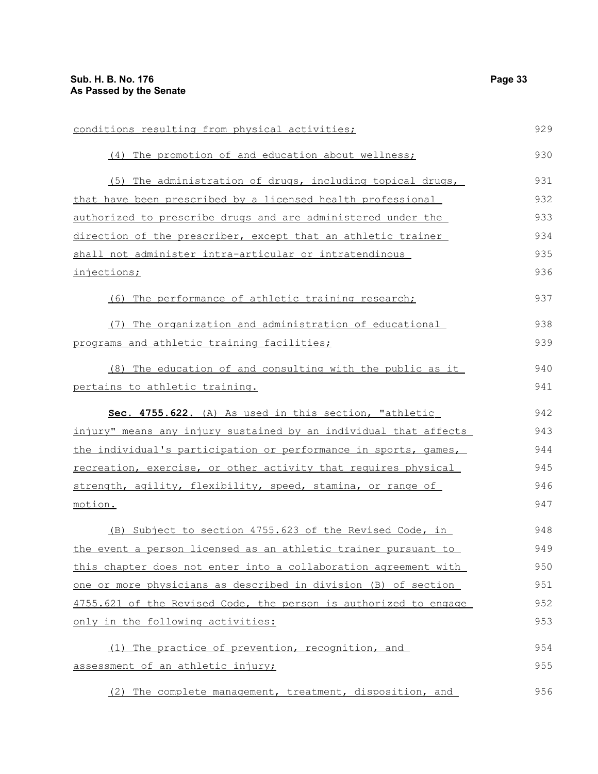| conditions resulting from physical activities;                      | 929 |
|---------------------------------------------------------------------|-----|
| (4) The promotion of and education about wellness;                  | 930 |
| (5) The administration of drugs, including topical drugs,           | 931 |
| that have been prescribed by a licensed health professional         | 932 |
| <u>authorized to prescribe drugs and are administered under the</u> | 933 |
| direction of the prescriber, except that an athletic trainer        | 934 |
| shall not administer intra-articular or intratendinous              | 935 |
| injections;                                                         | 936 |
| (6) The performance of athletic training research;                  | 937 |
| The organization and administration of educational<br>(7)           | 938 |
| programs and athletic training facilities;                          | 939 |
| (8) The education of and consulting with the public as it           | 940 |
| pertains to athletic training.                                      | 941 |
| Sec. 4755.622. (A) As used in this section, "athletic               | 942 |
| injury" means any injury sustained by an individual that affects    | 943 |
| the individual's participation or performance in sports, games,     | 944 |
|                                                                     |     |
| recreation, exercise, or other activity that requires physical      | 945 |
| strength, agility, flexibility, speed, stamina, or range of         | 946 |
| motion.                                                             | 947 |
| (B) Subject to section 4755.623 of the Revised Code, in             | 948 |
| the event a person licensed as an athletic trainer pursuant to      | 949 |
| this chapter does not enter into a collaboration agreement with     | 950 |
| one or more physicians as described in division (B) of section      | 951 |
| 4755.621 of the Revised Code, the person is authorized to engage    | 952 |
| only in the following activities:                                   | 953 |
| (1) The practice of prevention, recognition, and                    | 954 |
| assessment of an athletic injury;                                   | 955 |

(2) The complete management, treatment, disposition, and 956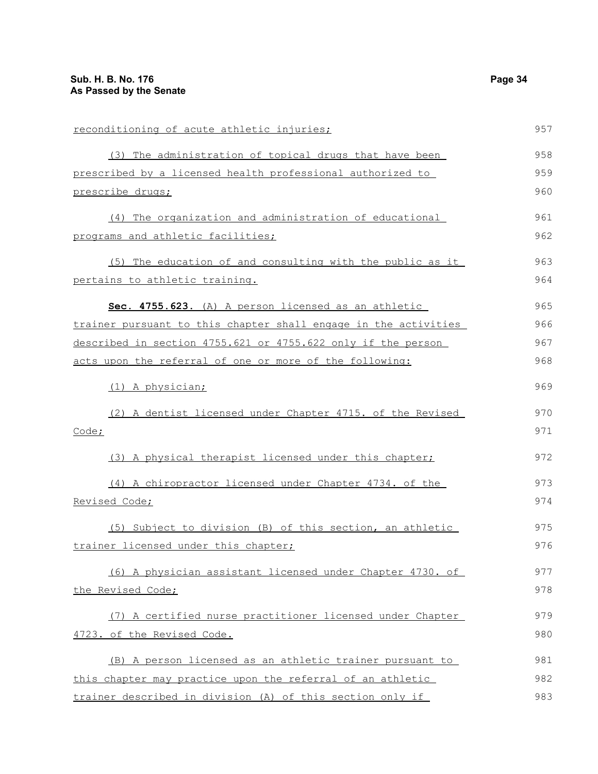| reconditioning of acute athletic injuries;                      | 957 |
|-----------------------------------------------------------------|-----|
| (3) The administration of topical drugs that have been          | 958 |
| prescribed by a licensed health professional authorized to      | 959 |
| prescribe drugs;                                                | 960 |
| (4) The organization and administration of educational          | 961 |
| programs and athletic facilities;                               | 962 |
| (5) The education of and consulting with the public as it       | 963 |
| pertains to athletic training.                                  | 964 |
| Sec. 4755.623. (A) A person licensed as an athletic             | 965 |
| trainer pursuant to this chapter shall engage in the activities | 966 |
| described in section 4755.621 or 4755.622 only if the person    | 967 |
| acts upon the referral of one or more of the following:         | 968 |
| (1) A physician;                                                | 969 |
| (2) A dentist licensed under Chapter 4715. of the Revised       | 970 |
| Code;                                                           | 971 |
| (3) A physical therapist licensed under this chapter;           | 972 |
| (4) A chiropractor licensed under Chapter 4734. of the          | 973 |
| Revised Code;                                                   | 974 |
| (5) Subject to division (B) of this section, an athletic        | 975 |
| trainer licensed under this chapter;                            | 976 |
| (6) A physician assistant licensed under Chapter 4730. of       | 977 |
| the Revised Code;                                               | 978 |
| (7) A certified nurse practitioner licensed under Chapter       | 979 |
| 4723. of the Revised Code.                                      | 980 |
| (B) A person licensed as an athletic trainer pursuant to        | 981 |
| this chapter may practice upon the referral of an athletic      | 982 |
| trainer described in division (A) of this section only if       | 983 |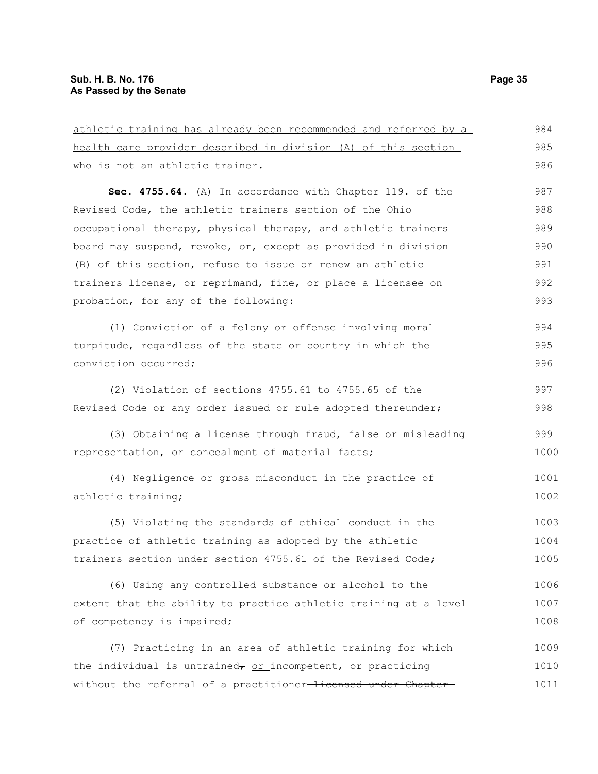| athletic training has already been recommended and referred by a | 984  |
|------------------------------------------------------------------|------|
| health care provider described in division (A) of this section   | 985  |
| <u>who is not an athletic trainer.</u>                           | 986  |
| Sec. 4755.64. (A) In accordance with Chapter 119. of the         | 987  |
| Revised Code, the athletic trainers section of the Ohio          | 988  |
| occupational therapy, physical therapy, and athletic trainers    | 989  |
| board may suspend, revoke, or, except as provided in division    | 990  |
| (B) of this section, refuse to issue or renew an athletic        | 991  |
| trainers license, or reprimand, fine, or place a licensee on     | 992  |
| probation, for any of the following:                             | 993  |
| (1) Conviction of a felony or offense involving moral            | 994  |
| turpitude, regardless of the state or country in which the       | 995  |
| conviction occurred;                                             | 996  |
| (2) Violation of sections 4755.61 to 4755.65 of the              | 997  |
| Revised Code or any order issued or rule adopted thereunder;     | 998  |
| (3) Obtaining a license through fraud, false or misleading       | 999  |
| representation, or concealment of material facts;                | 1000 |
| (4) Negligence or gross misconduct in the practice of            | 1001 |
| athletic training;                                               | 1002 |
| (5) Violating the standards of ethical conduct in the            | 1003 |
| practice of athletic training as adopted by the athletic         | 1004 |
| trainers section under section 4755.61 of the Revised Code;      | 1005 |
| (6) Using any controlled substance or alcohol to the             | 1006 |
| extent that the ability to practice athletic training at a level | 1007 |
| of competency is impaired;                                       | 1008 |
| (7) Practicing in an area of athletic training for which         | 1009 |
| the individual is untrained, or incompetent, or practicing       | 1010 |
| without the referral of a practitioner-licensed under Chapter-   | 1011 |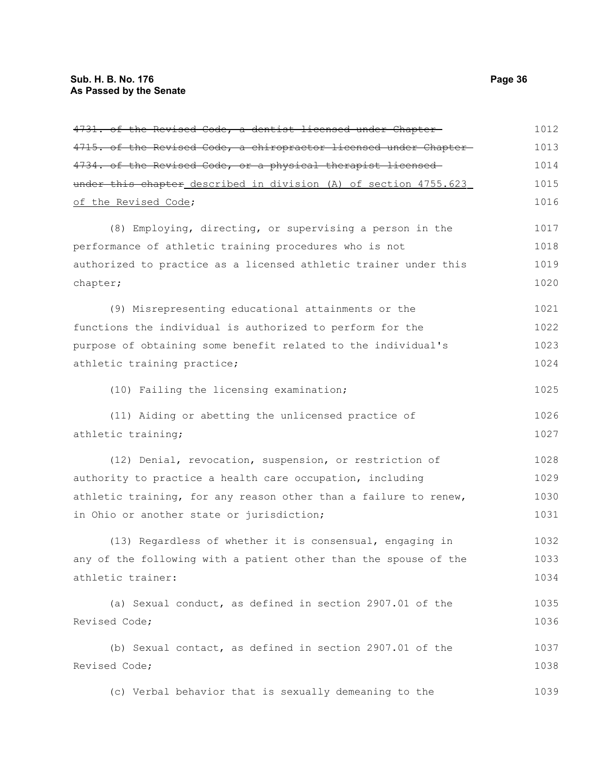| 4731. of the Revised Code, a dentist licensed under Chapter-     | 1012 |
|------------------------------------------------------------------|------|
| 4715. of the Revised Code, a chiropractor licensed under Chapter | 1013 |
| 4734. of the Revised Code, or a physical therapist licensed      | 1014 |
| under this chapter_described in division (A) of section 4755.623 | 1015 |
| of the Revised Code;                                             | 1016 |
| (8) Employing, directing, or supervising a person in the         | 1017 |
| performance of athletic training procedures who is not           | 1018 |
| authorized to practice as a licensed athletic trainer under this | 1019 |
| chapter;                                                         | 1020 |
| (9) Misrepresenting educational attainments or the               | 1021 |
| functions the individual is authorized to perform for the        | 1022 |
| purpose of obtaining some benefit related to the individual's    | 1023 |
| athletic training practice;                                      | 1024 |
| (10) Failing the licensing examination;                          | 1025 |
| (11) Aiding or abetting the unlicensed practice of               | 1026 |
| athletic training;                                               | 1027 |
| (12) Denial, revocation, suspension, or restriction of           | 1028 |
| authority to practice a health care occupation, including        | 1029 |
| athletic training, for any reason other than a failure to renew, | 1030 |
| in Ohio or another state or jurisdiction;                        | 1031 |
| (13) Regardless of whether it is consensual, engaging in         | 1032 |
| any of the following with a patient other than the spouse of the | 1033 |
| athletic trainer:                                                | 1034 |
| (a) Sexual conduct, as defined in section 2907.01 of the         | 1035 |
| Revised Code;                                                    | 1036 |
| (b) Sexual contact, as defined in section 2907.01 of the         | 1037 |
| Revised Code;                                                    | 1038 |
| (c) Verbal behavior that is sexually demeaning to the            | 1039 |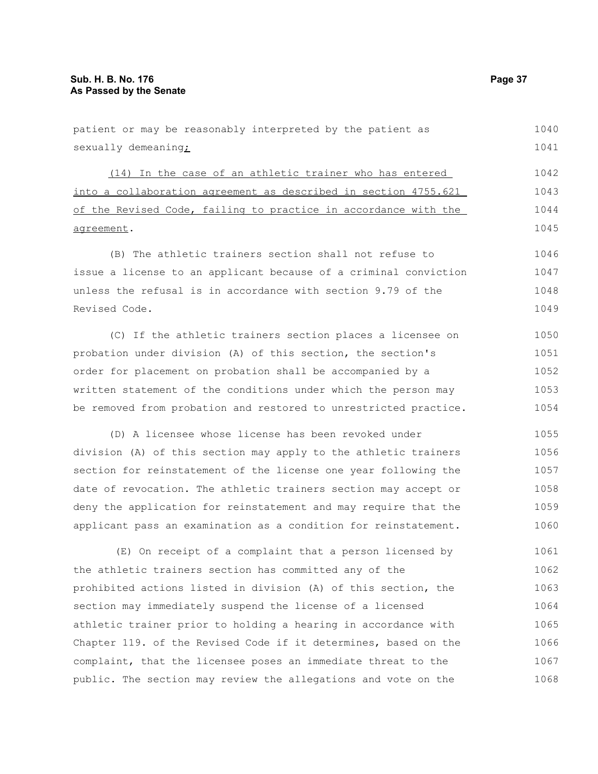| sexually demeaning;                                              | 1041 |
|------------------------------------------------------------------|------|
| (14) In the case of an athletic trainer who has entered          | 1042 |
| into a collaboration agreement as described in section 4755.621  | 1043 |
| of the Revised Code, failing to practice in accordance with the  | 1044 |
| agreement.                                                       | 1045 |
| (B) The athletic trainers section shall not refuse to            | 1046 |
| issue a license to an applicant because of a criminal conviction | 1047 |
| unless the refusal is in accordance with section 9.79 of the     | 1048 |
| Revised Code.                                                    | 1049 |
| (C) If the athletic trainers section places a licensee on        | 1050 |
| probation under division (A) of this section, the section's      | 1051 |
| order for placement on probation shall be accompanied by a       | 1052 |
| written statement of the conditions under which the person may   | 1053 |
| be removed from probation and restored to unrestricted practice. | 1054 |
| (D) A licensee whose license has been revoked under              | 1055 |
| division (A) of this section may apply to the athletic trainers  | 1056 |
| section for reinstatement of the license one year following the  | 1057 |
| date of revocation. The athletic trainers section may accept or  | 1058 |
| deny the application for reinstatement and may require that the  | 1059 |
| applicant pass an examination as a condition for reinstatement.  | 1060 |
| (E) On receipt of a complaint that a person licensed by          | 1061 |
| the athletic trainers section has committed any of the           | 1062 |
| prohibited actions listed in division (A) of this section, the   | 1063 |
| section may immediately suspend the license of a licensed        | 1064 |
| athletic trainer prior to holding a hearing in accordance with   | 1065 |
| Chapter 119. of the Revised Code if it determines, based on the  | 1066 |
| complaint, that the licensee poses an immediate threat to the    | 1067 |

public. The section may review the allegations and vote on the

patient or may be reasonably interpreted by the patient as

1040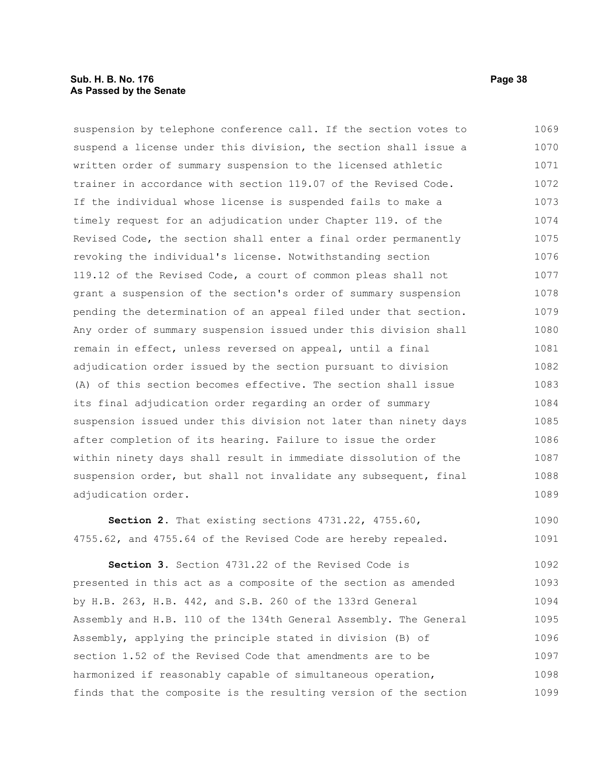#### **Sub. H. B. No. 176 Page 38 As Passed by the Senate**

suspension by telephone conference call. If the section votes to suspend a license under this division, the section shall issue a written order of summary suspension to the licensed athletic trainer in accordance with section 119.07 of the Revised Code. If the individual whose license is suspended fails to make a timely request for an adjudication under Chapter 119. of the Revised Code, the section shall enter a final order permanently revoking the individual's license. Notwithstanding section 119.12 of the Revised Code, a court of common pleas shall not grant a suspension of the section's order of summary suspension pending the determination of an appeal filed under that section. Any order of summary suspension issued under this division shall remain in effect, unless reversed on appeal, until a final adjudication order issued by the section pursuant to division (A) of this section becomes effective. The section shall issue its final adjudication order regarding an order of summary suspension issued under this division not later than ninety days after completion of its hearing. Failure to issue the order within ninety days shall result in immediate dissolution of the suspension order, but shall not invalidate any subsequent, final adjudication order. 1069 1070 1071 1072 1073 1074 1075 1076 1077 1078 1079 1080 1081 1082 1083 1084 1085 1086 1087 1088 1089

**Section 2.** That existing sections 4731.22, 4755.60, 4755.62, and 4755.64 of the Revised Code are hereby repealed. 1090 1091

**Section 3.** Section 4731.22 of the Revised Code is presented in this act as a composite of the section as amended by H.B. 263, H.B. 442, and S.B. 260 of the 133rd General Assembly and H.B. 110 of the 134th General Assembly. The General Assembly, applying the principle stated in division (B) of section 1.52 of the Revised Code that amendments are to be harmonized if reasonably capable of simultaneous operation, finds that the composite is the resulting version of the section 1092 1093 1094 1095 1096 1097 1098 1099